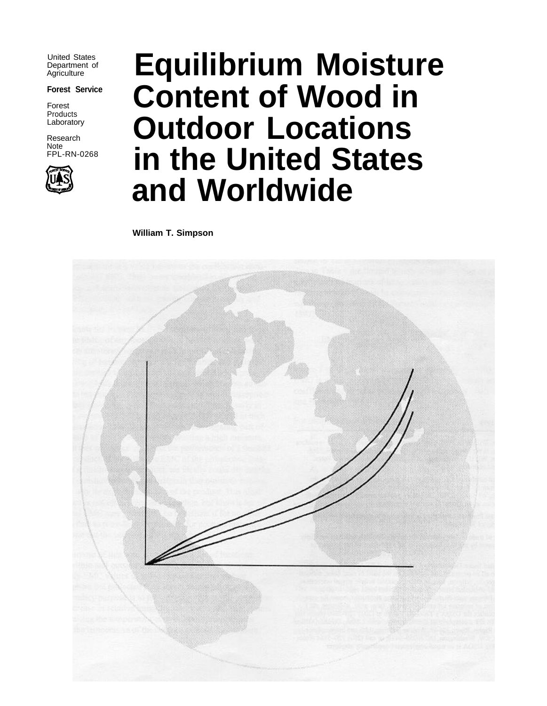United States Department of **Agriculture** 

**Forest Service**

Forest Products Laboratory

Research Note FPL-RN-0268



# **Equilibrium Moisture Content of Wood in Outdoor Locations in the United States and Worldwide**

**William T. Simpson**

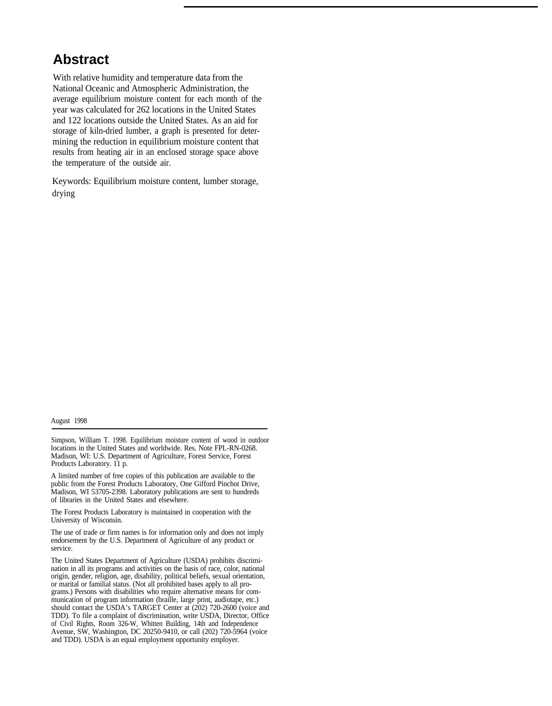### **Abstract**

With relative humidity and temperature data from the National Oceanic and Atmospheric Administration, the average equilibrium moisture content for each month of the year was calculated for 262 locations in the United States and 122 locations outside the United States. As an aid for storage of kiln-dried lumber, a graph is presented for determining the reduction in equilibrium moisture content that results from heating air in an enclosed storage space above the temperature of the outside air.

Keywords: Equilibrium moisture content, lumber storage, drying

August 1998

Simpson, William T. 1998. Equilibrium moisture content of wood in outdoor locations in the United States and worldwide. Res. Note FPL-RN-0268. Madison, WI: U.S. Department of Agriculture, Forest Service, Forest Products Laboratory. 11 p.

A limited number of free copies of this publication are available to the public from the Forest Products Laboratory, One Gifford Pinchot Drive, Madison, WI 53705-2398. Laboratory publications are sent to hundreds of libraries in the United States and elsewhere.

The Forest Products Laboratory is maintained in cooperation with the University of Wisconsin.

The use of trade or firm names is for information only and does not imply endorsement by the U.S. Department of Agriculture of any product or service.

The United States Department of Agriculture (USDA) prohibits discrimination in all its programs and activities on the basis of race, color, national origin, gender, religion, age, disability, political beliefs, sexual orientation, or marital or familial status. (Not all prohibited bases apply to all programs.) Persons with disabilities who require alternative means for communication of program information (braille, large print, audiotape, etc.) should contact the USDA's TARGET Center at (202) 720-2600 (voice and TDD). To file a complaint of discrimination, write USDA, Director, Office of Civil Rights, Room 326-W, Whitten Building, 14th and Independence Avenue, SW, Washington, DC 20250-9410, or call (202) 720-5964 (voice and TDD). USDA is an equal employment opportunity employer.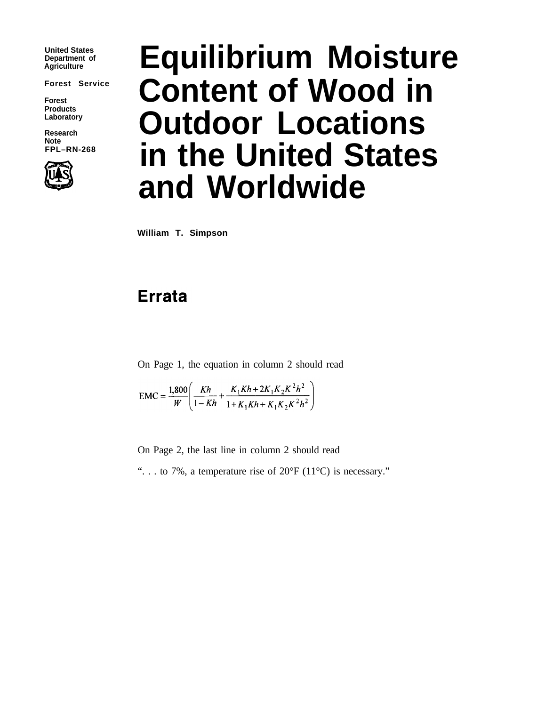**United States Department of**

**Forest Service**

**Forest Products Laboratory**

Note<br>FPL-RN-268



# **Equilibrium Moisture Content of Wood in** Research **Outdoor Locations in the United States and Worldwide**

**William T. Simpson**

## **Errata**

On Page 1, the equation in column 2 should read

$$
EMC = \frac{1,800}{W} \left( \frac{Kh}{1 - Kh} + \frac{K_1 Kh + 2K_1 K_2 K^2 h^2}{1 + K_1 Kh + K_1 K_2 K^2 h^2} \right)
$$

On Page 2, the last line in column 2 should read

"... to 7%, a temperature rise of  $20^{\circ}F(11^{\circ}C)$  is necessary."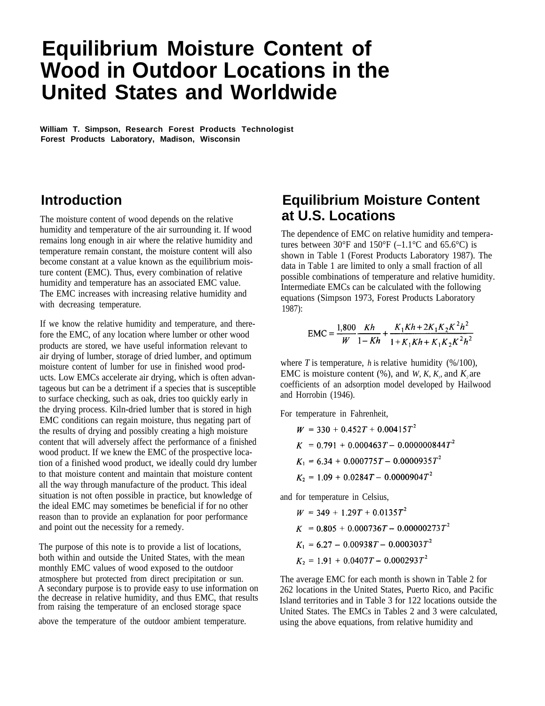# **Equilibrium Moisture Content of Wood in Outdoor Locations in the United States and Worldwide**

**William T. Simpson, Research Forest Products Technologist Forest Products Laboratory, Madison, Wisconsin**

#### **Introduction**

The moisture content of wood depends on the relative humidity and temperature of the air surrounding it. If wood remains long enough in air where the relative humidity and temperature remain constant, the moisture content will also become constant at a value known as the equilibrium moisture content (EMC). Thus, every combination of relative humidity and temperature has an associated EMC value. The EMC increases with increasing relative humidity and with decreasing temperature.

If we know the relative humidity and temperature, and therefore the EMC, of any location where lumber or other wood products are stored, we have useful information relevant to air drying of lumber, storage of dried lumber, and optimum moisture content of lumber for use in finished wood products. Low EMCs accelerate air drying, which is often advantageous but can be a detriment if a species that is susceptible to surface checking, such as oak, dries too quickly early in the drying process. Kiln-dried lumber that is stored in high EMC conditions can regain moisture, thus negating part of the results of drying and possibly creating a high moisture content that will adversely affect the performance of a finished wood product. If we knew the EMC of the prospective location of a finished wood product, we ideally could dry lumber to that moisture content and maintain that moisture content all the way through manufacture of the product. This ideal situation is not often possible in practice, but knowledge of the ideal EMC may sometimes be beneficial if for no other reason than to provide an explanation for poor performance and point out the necessity for a remedy.

The purpose of this note is to provide a list of locations, both within and outside the United States, with the mean monthly EMC values of wood exposed to the outdoor A secondary purpose is to provide easy to use information on the decrease in relative humidity, and thus EMC, that results from raising the temperature of an enclosed storage space atmosphere but protected from direct precipitation or sun. The average EMC for each month is shown in Table 2 for

#### **Equilibrium Moisture Content at U.S. Locations**

The dependence of EMC on relative humidity and temperatures between  $30^{\circ}$ F and  $150^{\circ}$ F (-1.1°C and 65.6°C) is shown in Table 1 (Forest Products Laboratory 1987). The data in Table 1 are limited to only a small fraction of all possible combinations of temperature and relative humidity. Intermediate EMCs can be calculated with the following equations (Simpson 1973, Forest Products Laboratory 1987):

$$
EMC = \frac{1,800}{W} \frac{Kh}{1 - Kh} + \frac{K_1 Kh + 2K_1K_2K^2h^2}{1 + K_1Kh + K_1K_2K^2h^2}
$$

where  $T$  is temperature,  $h$  is relative humidity (%/100), EMC is moisture content  $(\%)$ , and *W*, *K*, *K<sub>n</sub>* and *K<sub>2</sub>* are coefficients of an adsorption model developed by Hailwood and Horrobin (1946).

For temperature in Fahrenheit,

$$
W = 330 + 0.452T + 0.00415T^{2}
$$
  
\n
$$
K = 0.791 + 0.000463T - 0.000000844T^{2}
$$
  
\n
$$
K_1 = 6.34 + 0.000775T - 0.0000935T^{2}
$$
  
\n
$$
K_2 = 1.09 + 0.0284T - 0.0000904T^{2}
$$

and for temperature in Celsius,

 $W = 349 + 1.29T + 0.0135T^2$  $K = 0.805 + 0.000736T - 0.00000273T^2$  $K_1 = 6.27 - 0.00938T - 0.000303T^2$  $K_2 = 1.91 + 0.0407T - 0.000293T^2$ 

262 locations in the United States, Puerto Rico, and Pacific Island territories and in Table 3 for 122 locations outside the United States. The EMCs in Tables 2 and 3 were calculated, above the temperature of the outdoor ambient temperature. using the above equations, from relative humidity and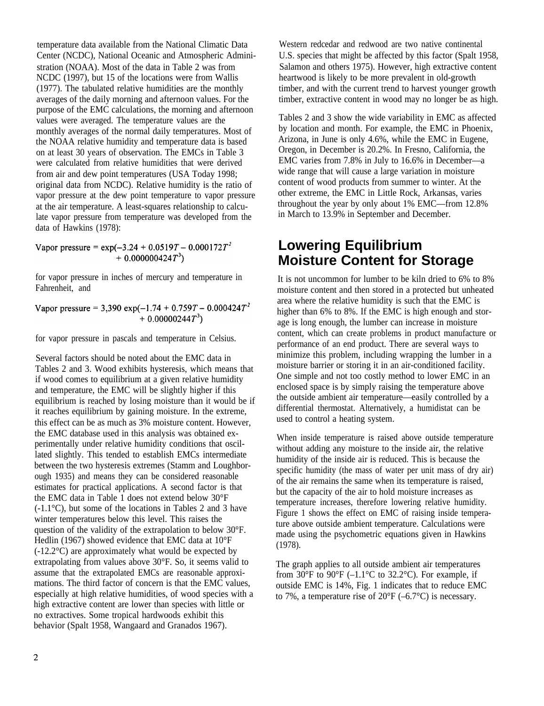temperature data available from the National Climatic Data Center (NCDC), National Oceanic and Atmospheric Administration (NOAA). Most of the data in Table 2 was from NCDC (1997), but 15 of the locations were from Wallis (1977). The tabulated relative humidities are the monthly averages of the daily morning and afternoon values. For the purpose of the EMC calculations, the morning and afternoon values were averaged. The temperature values are the monthly averages of the normal daily temperatures. Most of the NOAA relative humidity and temperature data is based on at least 30 years of observation. The EMCs in Table 3 were calculated from relative humidities that were derived from air and dew point temperatures (USA Today 1998; original data from NCDC). Relative humidity is the ratio of vapor pressure at the dew point temperature to vapor pressure at the air temperature. A least-squares relationship to calculate vapor pressure from temperature was developed from the data of Hawkins (1978):

Vapor pressure =  $\exp(-3.24 + 0.0519T - 0.000172T^2)$  $+ 0.000000424T^3$ 

for vapor pressure in inches of mercury and temperature in Fahrenheit, and

Vapor pressure = 3,390 exp(-1.74 + 0.759T - 0.000424 $T^2$  $+0.00000244T^3$ 

for vapor pressure in pascals and temperature in Celsius.

Several factors should be noted about the EMC data in Tables 2 and 3. Wood exhibits hysteresis, which means that if wood comes to equilibrium at a given relative humidity and temperature, the EMC will be slightly higher if this equilibrium is reached by losing moisture than it would be if it reaches equilibrium by gaining moisture. In the extreme, this effect can be as much as 3% moisture content. However, the EMC database used in this analysis was obtained experimentally under relative humidity conditions that oscillated slightly. This tended to establish EMCs intermediate between the two hysteresis extremes (Stamm and Loughborough 1935) and means they can be considered reasonable estimates for practical applications. A second factor is that the EMC data in Table 1 does not extend below 30°F (-1.1°C), but some of the locations in Tables 2 and 3 have winter temperatures below this level. This raises the question of the validity of the extrapolation to below 30°F. Hedlin (1967) showed evidence that EMC data at 10°F (-12.2°C) are approximately what would be expected by extrapolating from values above 30°F. So, it seems valid to assume that the extrapolated EMCs are reasonable approximations. The third factor of concern is that the EMC values, especially at high relative humidities, of wood species with a high extractive content are lower than species with little or no extractives. Some tropical hardwoods exhibit this behavior (Spalt 1958, Wangaard and Granados 1967).

Western redcedar and redwood are two native continental U.S. species that might be affected by this factor (Spalt 1958, Salamon and others 1975). However, high extractive content heartwood is likely to be more prevalent in old-growth timber, and with the current trend to harvest younger growth timber, extractive content in wood may no longer be as high.

Tables 2 and 3 show the wide variability in EMC as affected by location and month. For example, the EMC in Phoenix, Arizona, in June is only 4.6%, while the EMC in Eugene, Oregon, in December is 20.2%. In Fresno, California, the EMC varies from 7.8% in July to 16.6% in December—a wide range that will cause a large variation in moisture content of wood products from summer to winter. At the other extreme, the EMC in Little Rock, Arkansas, varies throughout the year by only about 1% EMC—from 12.8% in March to 13.9% in September and December.

#### **Lowering Equilibrium Moisture Content for Storage**

It is not uncommon for lumber to be kiln dried to 6% to 8% moisture content and then stored in a protected but unheated area where the relative humidity is such that the EMC is higher than 6% to 8%. If the EMC is high enough and storage is long enough, the lumber can increase in moisture content, which can create problems in product manufacture or performance of an end product. There are several ways to minimize this problem, including wrapping the lumber in a moisture barrier or storing it in an air-conditioned facility. One simple and not too costly method to lower EMC in an enclosed space is by simply raising the temperature above the outside ambient air temperature—easily controlled by a differential thermostat. Alternatively, a humidistat can be used to control a heating system.

When inside temperature is raised above outside temperature without adding any moisture to the inside air, the relative humidity of the inside air is reduced. This is because the specific humidity (the mass of water per unit mass of dry air) of the air remains the same when its temperature is raised, but the capacity of the air to hold moisture increases as temperature increases, therefore lowering relative humidity. Figure 1 shows the effect on EMC of raising inside temperature above outside ambient temperature. Calculations were made using the psychometric equations given in Hawkins (1978).

The graph applies to all outside ambient air temperatures from 30 $\mathrm{^{\circ}F}$  to 90 $\mathrm{^{\circ}F}$  (-1.1 $\mathrm{^{\circ}C}$  to 32.2 $\mathrm{^{\circ}C}$ ). For example, if outside EMC is 14%, Fig. 1 indicates that to reduce EMC to 7%, a temperature rise of  $20^{\circ}F(-6.7^{\circ}C)$  is necessary.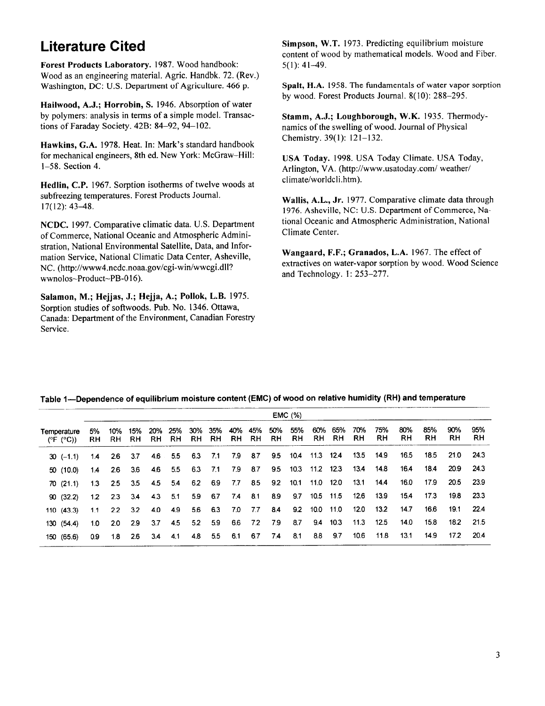### **Literature Cited**

Forest Products Laboratory. 1987. Wood handbook: Wood as an engineering material. Agric. Handbk. 72. (Rev.) Washington, DC: U.S. Department of Agriculture. 466 p.

Hailwood, A.J.; Horrobin, S. 1946. Absorption of water by polymers: analysis in terms of a simple model. Transactions of Faraday Society. 42B: 84-92, 94-102.

Hawkins, G.A. 1978. Heat. In: Mark's standard handbook for mechanical engineers, 8th ed. New York: McGraw-Hill:  $1-58$ . Section 4.

Hedlin, C.P. 1967. Sorption isotherms of twelve woods at subfreezing temperatures. Forest Products Journal.  $17(12): 43-48.$ 

NCDC. 1997. Comparative climatic data. U.S. Department of Commerce, National Oceanic and Atmospheric Administration. National Environmental Satellite, Data, and Information Service, National Climatic Data Center, Asheville, NC. (http://www4.ncdc.noaa.gov/cgi-win/wwcgi.dll? wwnolos~Product~PB-016).

Salamon, M.; Hejjas, J.; Hejja, A.; Pollok, L.B. 1975. Sorption studies of softwoods. Pub. No. 1346. Ottawa, Canada: Department of the Environment, Canadian Forestry Service.

Simpson, W.T. 1973. Predicting equilibrium moisture content of wood by mathematical models. Wood and Fiber.  $5(1): 41-49.$ 

Spalt, H.A. 1958. The fundamentals of water vapor sorption by wood. Forest Products Journal. 8(10): 288-295.

Stamm, A.J.; Loughborough, W.K. 1935. Thermodynamics of the swelling of wood. Journal of Physical Chemistry. 39(1): 121-132.

USA Today. 1998. USA Today Climate. USA Today, Arlington, VA. (http://www.usatoday.com/ weather/ climate/worldcli.htm).

Wallis, A.L., Jr. 1977. Comparative climate data through 1976. Asheville, NC: U.S. Department of Commerce, National Oceanic and Atmospheric Administration, National Climate Center.

Wangaard, F.F.; Granados, L.A. 1967. The effect of extractives on water-vapor sorption by wood. Wood Science and Technology. 1: 253-277.

|                                                 | <b>EMC</b> (%)   |               |              |                 |             |                          |                 |             |         |           |                  |                       |            |                  |            |            |            |           |           |
|-------------------------------------------------|------------------|---------------|--------------|-----------------|-------------|--------------------------|-----------------|-------------|---------|-----------|------------------|-----------------------|------------|------------------|------------|------------|------------|-----------|-----------|
| Temperature<br>( $\rm (°F$ ( $\rm ^{\circ}C$ )) | 5%<br>RH.        | 10%           | 15%<br>RH RH | 20%             | 25%         | 30%<br>RH RH RH RH RH RH | 35%             | 40%         | 45%     | 50%<br>RH | 55%<br><b>RH</b> | 60%<br>RH             | 65%<br>RH. | 70%<br><b>RH</b> | 75%<br>RH. | 80%<br>RH. | 85%<br>RH. | 90%<br>RH | 95%<br>RH |
| $30 (-1.1)$                                     | 1.4              | 2.6           | 3.7          |                 | 4.6 5.5 6.3 |                          | 7.1             | 7.9 8.7     |         |           |                  | 9.5 10.4 11.3 12.4    |            | 13.5             | 14.9       | 16.5       | 18.5       |           | 21.0 24.3 |
| 50 (10.0)                                       | 14               | 2.6           | 3.6          |                 |             | 4.6 5.5 6.3 7.1          |                 |             | 7.9 8.7 |           |                  | 9.5 10.3 11.2 12.3    |            |                  | 13.4 14.8  | 164        | 18.4       | 20.9      | 24.3      |
| 70(21.1)                                        |                  | $13 \quad 25$ | 3.5          | 4.5 5.4 6.2 6.9 |             |                          |                 | 7.7         | 8.5     |           |                  | 9.2  10.1  11.0  12.0 |            | 13.1             | 14.4       | 16.0       | 17.9       | 20.5      | 23.9      |
| 90(32.2)                                        | 1.2              | 2.3           | 3.4          | 4.3 5.1         |             |                          | 5.9 6.7 7.4 8.1 |             |         | 8.9       |                  | 9.7 10.5 11.5         |            | 12.6             | 13.9       | 15.4       | 17.3       | 19.8      | 23.3      |
| 110 (43.3)                                      | 1.1              | 2.2           | 3.2          | 4.0             | 4.9         | 5.6                      | 6.3             | 7.0         | 7.7     | 8.4       |                  | 9.2 10.0 11.0         |            | 12.0             | 13.2       | 14.7       | 16.6       | 19.1      | 22.4      |
| 130 (54.4)                                      | 1.0 <sub>1</sub> | 20            | -2.9         |                 | $3.7$ 4.5   | 5.2                      | 5.9             |             | 6.6 7.2 | 7.9       | 8.7              |                       | $9.4$ 10.3 | 11.3             | 12.5       | 14.0       | 15.8       | 18.2      | 21.5      |
| 150 (65.6)                                      | 0.9              | 1.8           | 2.6          |                 | $3.4$ 4.1   | 4.8                      |                 | 5.5 6.1 6.7 |         | 7.4       | 8.1              | 8.8                   | 9.7        | 10.6             | 11.8       | 13.1       | 14.9       | 17.2      | 20.4      |

#### Table 1—Dependence of equilibrium moisture content (EMC) of wood on relative humidity (RH) and temperature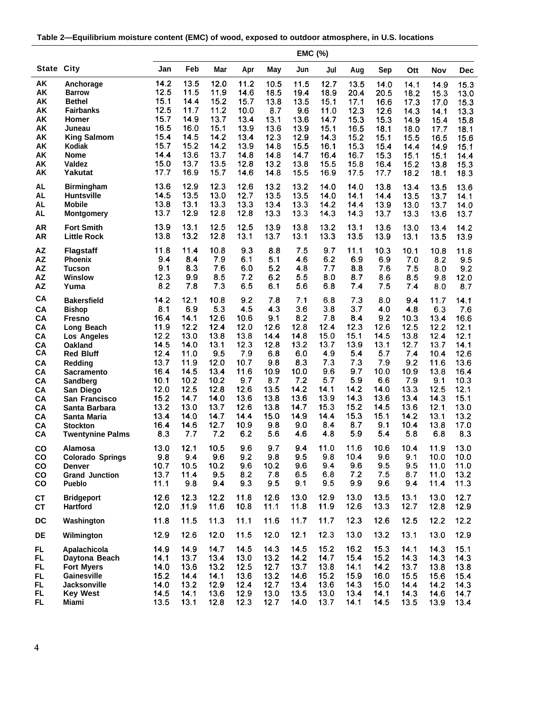| Table 2—Equilibrium moisture content (EMC) of wood, exposed to outdoor atmosphere, in U.S. locations |  |
|------------------------------------------------------------------------------------------------------|--|
|                                                                                                      |  |

|           |                         |      |       |      |      |      | <b>EMC (%)</b> |      |      |      |      |      |      |
|-----------|-------------------------|------|-------|------|------|------|----------------|------|------|------|------|------|------|
|           | <b>State City</b>       | Jan  | Feb   | Mar  | Apr  | May  | Jun            | Jul  | Aug  | Sep  | Ott  | Nov  | Dec  |
| AK        | Anchorage               | 14.2 | 13.5  | 12.0 | 11.2 | 10.5 | 11.5           | 12.7 | 13.5 | 14.0 | 14.1 | 14.9 | 15.3 |
| AK        | <b>Barrow</b>           | 12.5 | 11.5  | 11.9 | 14.6 | 18.5 | 19.4           | 18.9 | 20.4 | 20.5 | 18.2 | 15.3 | 13.0 |
| AK        | <b>Bethel</b>           | 15.1 | 14.4  | 15.2 | 15.7 | 13.8 | 13.5           | 15.1 | 17.1 | 16.6 | 17.3 | 17.0 | 15.3 |
| AK        | <b>Fairbanks</b>        | 12.5 | 11.7  | 11.2 | 10.0 | 8.7  | 9.6            | 11.0 | 12.3 | 12.6 | 14.3 | 14.1 | 13.3 |
| AK        | Homer                   | 15.7 | 14.9  | 13.7 | 13.4 | 13.1 | 13.6           | 14.7 | 15.3 | 15.3 | 14.9 | 15.4 | 15.8 |
| AK        | Juneau                  | 16.5 | 16.0  | 15.1 | 13.9 | 13.6 | 13.9           | 15.1 | 16.5 | 18.1 | 18.0 | 17.7 | 18.1 |
| AK        | <b>King Salmom</b>      | 15.4 | 14.5  | 14.2 | 13.4 | 12.3 | 12.9           | 14.3 | 15.2 | 15.1 | 15.5 | 16.5 | 15.6 |
| AK        | Kodiak                  | 15.7 | 15.2  | 14.2 | 13.9 | 14.8 | 15.5           | 16.1 | 15.3 | 15.4 | 14.4 | 14.9 | 15.1 |
| AK        | <b>Nome</b>             | 14.4 | 13.6  | 13.7 | 14.8 | 14.8 | 14.7           | 16.4 | 16.7 | 15.3 | 15.1 | 15.1 | 14.4 |
| AΚ        | Valdez                  | 15.0 | 13.7  | 13.5 | 12.8 | 13.2 | 13.8           | 15.5 | 15.8 | 16.4 | 15.2 | 13.8 | 15.3 |
| AK        | Yakutat                 | 17.7 | 16.9  | 15.7 | 14.6 | 14.8 | 15.5           | 16.9 | 17.5 | 17.7 | 18.2 | 18.1 | 18.3 |
| <b>AL</b> | <b>Birmingham</b>       | 13.6 | 12.9  | 12.3 | 12.6 | 13.2 | 13.2           | 14.0 | 14.0 | 13.8 | 13.4 | 13.5 | 13.6 |
| <b>AL</b> | <b>Huntsville</b>       | 14.5 | 13.5  | 13.0 | 12.7 | 13.5 | 13.5           | 14.0 | 14.1 | 14.4 | 13.5 | 13.7 | 14.1 |
| <b>AL</b> | <b>Mobile</b>           | 13.8 | 13.1  | 13.3 | 13.3 | 13.4 | 13.3           | 14.2 | 14.4 | 13.9 | 13.0 | 13.7 | 14.0 |
| <b>AL</b> | <b>Montgomery</b>       | 13.7 | 12.9  | 12.8 | 12.8 | 13.3 | 13.3           | 14.3 | 14.3 | 13.7 | 13.3 | 13.6 | 13.7 |
| <b>AR</b> | <b>Fort Smith</b>       | 13.9 | 13.1  | 12.5 | 12.5 | 13.9 | 13.8           | 13.2 | 13.1 | 13.6 | 13.0 | 13.4 | 14.2 |
| <b>AR</b> | <b>Little Rock</b>      | 13.8 | 13.2  | 12.8 | 13.1 | 13.7 | 13.1           | 13.3 | 13.5 | 13.9 | 13.1 | 13.5 | 13.9 |
| <b>AZ</b> | <b>Flagstaff</b>        | 11.8 | 11.4  | 10.8 | 9.3  | 8.8  | 7.5            | 9.7  | 11.1 | 10.3 | 10.1 | 10.8 | 11.8 |
| AZ        | Phoenix                 | 9.4  | 8,4   | 7.9  | 6.1  | 5.1  | 4.6            | 6.2  | 6.9  | 6.9  | 7.0  | 8.2  | 9.5  |
| <b>AZ</b> | <b>Tucson</b>           | 9.1  | 8.3   | 7.6  | 6.0  | 5.2  | 4.8            | 7.7  | 8.8  | 7.6  | 7.5  | 8.0  | 9.2  |
| <b>AZ</b> | Winslow                 | 12.3 | 9.9   | 8.5  | 7.2  | 6.2  | 5.5            | 8.0  | 8.7  | 8.6  | 8.5  | 9.8  | 12.0 |
| <b>AZ</b> | Yuma                    | 8.2  | 7.8   | 7.3  | 6.5  | 6.1  | 5.6            | 6.8  | 7.4  | 7.5  | 7.4  | 8.0  | 8.7  |
| CA        | <b>Bakersfield</b>      | 14.2 | 12.1  | 10.8 | 9.2  | 7.8  | 7.1            | 6.8  | 7.3  | 8.0  | 9.4  | 11.7 | 14.1 |
| CA        | <b>Bishop</b>           | 8.1  | 6.9   | 5.3  | 4.5  | 4.3  | 3.6            | 3.8  | 3.7  | 4.0  | 4.8  | 6.3  | 7.6  |
| CA        | <b>Fresno</b>           | 16.4 | 14.1  | 12.6 | 10.6 | 9.1  | 8.2            | 7.8  | 8.4  | 9.2  | 10.3 | 13.4 | 16.6 |
| CA        | Long Beach              | 11.9 | 12.2  | 12.4 | 12.0 | 12.6 | 12.8           | 12.4 | 12.3 | 12.6 | 12.5 | 12.2 | 12.1 |
| CA        | <b>Los Angeles</b>      | 12.2 | 13.0  | 13.8 | 13.8 | 14.4 | 14.8           | 15.0 | 15.1 | 14.5 | 13.8 | 12.4 | 12.1 |
| CA        | <b>Oakland</b>          | 14.5 | 14.0  | 13.1 | 12.3 | 12.8 | 13.2           | 13.7 | 13.9 | 13.1 | 12.7 | 13.7 | 14.1 |
| CA        | <b>Red Bluff</b>        | 12.4 | 11.0  | 9.5  | 7.9  | 6.8  | 6.0            | 4.9  | 5.4  | 5.7  | 7.4  | 10.4 | 12.6 |
| CA        | <b>Redding</b>          | 13.7 | 11.9  | 12.0 | 10.7 | 9.8  | 8.3            | 7.3  | 7.3  | 7.9  | 9.2  | 11.6 | 13.6 |
| CA        | <b>Sacramento</b>       | 16.4 | 14.5  | 13.4 | 11.6 | 10.9 | 10.0           | 9.6  | 9.7  | 10.0 | 10.9 | 13.8 | 16.4 |
| CA        | Sandberg                | 10.1 | 10.2  | 10.2 | 9,7  | 8.7  | 7.2            | 5.7  | 5.9  | 6.6  | 7.9  | 9.1  | 10.3 |
| CA        | San Diego               | 12.0 | 12.5  | 12.8 | 12.6 | 13.5 | 14.2           | 14.1 | 14.2 | 14.0 | 13.3 | 12.5 | 12.1 |
| CA        | San Francisco           | 15.2 | 14.7  | 14.0 | 13.6 | 13.8 | 13.6           | 13.9 | 14.3 | 13.6 | 13.4 | 14.3 | 15.1 |
| CA        | Santa Barbara           | 13.2 | 13.0  | 13.7 | 12.6 | 13.8 | 14.7           | 15.3 | 15.2 | 14.5 | 13.6 | 12.1 | 13.0 |
| CA        | Santa Maria             | 13.4 | 14.0  | 14.7 | 14.4 | 15.0 | 14.9           | 14.4 | 15.3 | 15.1 | 14.2 | 13.1 | 13.2 |
| CA        | <b>Stockton</b>         | 16.4 | 14.6  | 12.7 | 10.9 | 9.8  | 9.0            | 8.4  | 8.7  | 9.1  | 10.4 | 13.8 | 17.0 |
| CA        | <b>Twentynine Palms</b> | 8.3  | 7.7   | 7.2  | 6.2  | 5.6  | 4.6            | 4.8  | 5.9  | 5.4  | 5.8  | 6.8  | 8.3  |
| co        | Alamosa                 | 13.0 | 12.1  | 10.5 | 9.6  | 9.7  | 9.4            | 11.0 | 11.6 | 10.6 | 10.4 | 11.9 | 13.0 |
| CO        | <b>Colorado Springs</b> | 9.8  | 9.4   | 9.6  | 9.2  | 9.8  | 9.5            | 9.8  | 10.4 | 9.6  | 9.1  | 10.0 | 10.0 |
| CO        | <b>Denver</b>           | 10.7 | 10.5  | 10.2 | 9.6  | 10.2 | 9.6            | 9.4  | 9.6  | 9.5  | 9.5  | 11.0 | 11.0 |
| CO        | <b>Grand Junction</b>   | 13.7 | 11.4  | 9.5  | 8.2  | 7.8  | 6.5            | 6.8  | 7.2  | 7.5  | 8.7  | 11.0 | 13.2 |
| CO        | Pueblo                  | 11.1 | 9.8   | 9.4  | 9.3  | 9.5  | 9.1            | 9.5  | 9.9  | 9.6  | 9.4  | 11.4 | 11.3 |
| <b>CT</b> | <b>Bridgeport</b>       | 12.6 | 12.3  | 12.2 | 11.8 | 12.6 | 13.0           | 12.9 | 13.0 | 13.5 | 13.1 | 13.0 | 12.7 |
| <b>CT</b> | <b>Hartford</b>         | 12.0 | .11.9 | 11.6 | 10.8 | 11.1 | 11.8           | 11.9 | 12.6 | 13.3 | 12.7 | 12.8 | 12.9 |
| DC        | Washington              | 11.8 | 11.5  | 11.3 | 11.1 | 11.6 | 11.7           | 11.7 | 12.3 | 12.6 | 12.5 | 12.2 | 12.2 |
| DE        | Wilmington              | 12.9 | 12.6  | 12.0 | 11.5 | 12.0 | 12.1           | 12.3 | 13.0 | 13.2 | 13.1 | 13.0 | 12.9 |
| <b>FL</b> | Apalachicola            | 14.9 | 14.9  | 14.7 | 14.5 | 14.3 | 14.5           | 15.2 | 16.2 | 15.3 | 14.1 | 14.3 | 15.1 |
| FL        | Daytona Beach           | 14.1 | 13.7  | 13.4 | 13.0 | 13.2 | 14.2           | 14.7 | 15.4 | 15.2 | 14.3 | 14.3 | 14.3 |
| FL        | <b>Fort Myers</b>       | 14.0 | 13.6  | 13.2 | 12.5 | 12.7 | 13.7           | 13.8 | 14.1 | 14.2 | 13.7 | 13.8 | 13.8 |
| FL.       | Gainesville             | 15.2 | 14.4  | 14.1 | 13.6 | 13.2 | 14.6           | 15.2 | 15.9 | 16.0 | 15.5 | 15.6 | 15.4 |
| FL        | <b>Jacksonville</b>     | 14.0 | 13.2  | 12.9 | 12.4 | 12.7 | 13.4           | 13.6 | 14.3 | 15.0 | 14.4 | 14.2 | 14.3 |
| <b>FL</b> | <b>Key West</b>         | 14.5 | 14.1  | 13.6 | 12.9 | 13.0 | 13.5           | 13.0 | 13.4 | 14.1 | 14.3 | 14.6 | 14.7 |
| FL.       | Miami                   | 13.5 | 13.1  | 12.8 | 12.3 | 12.7 | 14.0           | 13.7 | 14.1 | 14.5 | 13.5 | 13.9 | 13.4 |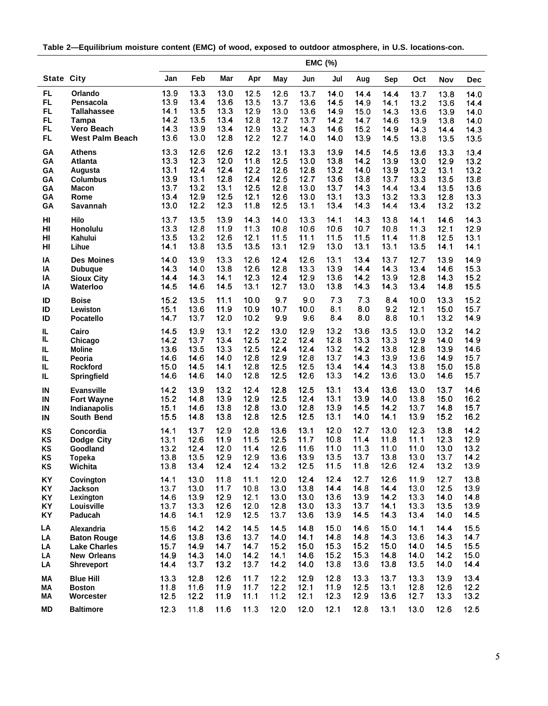**Table 2—Equilibrium moisture content (EMC) of wood, exposed to outdoor atmosphere, in U.S. locations-con.**

|                   |                        |      |      |      |      |      |      | EMC (%) |      |      |      |      |            |
|-------------------|------------------------|------|------|------|------|------|------|---------|------|------|------|------|------------|
| <b>State City</b> |                        | Jan  | Feb  | Mar  | Apr  | May  | Jun  | Jul     | Aug  | Sep  | Oct  | Nov  | <b>Dec</b> |
| FL                | Orlando                | 13.9 | 13.3 | 13.0 | 12.5 | 12.6 | 13.7 | 14.0    | 14.4 | 14.4 | 13.7 | 13.8 | 14.0       |
| FL.               | Pensacola              | 13.9 | 13.4 | 13.6 | 13.5 | 13.7 | 13.6 | 14.5    | 14.9 | 14.1 | 13.2 | 13.6 | 14.4       |
| FL.               | <b>Tallahassee</b>     | 14.1 | 13.5 | 13.3 | 12.9 | 13.0 | 13.6 | 14.9    | 15.0 | 14.3 | 13.6 | 13.9 | 14.0       |
| <b>FL</b>         | <b>Tampa</b>           | 14.2 | 13.5 | 13.4 | 12.8 | 12.7 | 13.7 | 14.2    | 14.7 | 14.6 | 13.9 | 13.8 | 14.0       |
| FL.               | <b>Vero Beach</b>      | 14.3 | 13.9 | 13.4 | 12.9 | 13.2 | 14.3 | 14.6    | 15.2 | 14.9 | 14.3 | 14.4 | 14.3       |
| FL.               | <b>West Palm Beach</b> | 13.6 | 13.0 | 12.8 | 12.2 | 12.7 | 14.0 | 14.0    | 13.9 | 14.5 | 13.8 | 13.5 | 13.5       |
| GA                | Athens                 | 13.3 | 12.6 | 12.6 | 12.2 | 13.1 | 13.3 | 13.9    | 14.5 | 14.5 | 13.6 | 13.3 | 13.4       |
| GA                | <b>Atlanta</b>         | 13.3 | 12.3 | 12.0 | 11.8 | 12.5 | 13.0 | 13.8    | 14.2 | 13.9 | 13.0 | 12.9 | 13.2       |
| GA                | Augusta                | 13.1 | 12.4 | 12.4 | 12.2 | 12.6 | 12.8 | 13.2    | 14.0 | 13.9 | 13.2 | 13.1 | 13.2       |
| GA                | <b>Columbus</b>        | 13.9 | 13.1 | 12.8 | 12.4 | 12.5 | 12.7 | 13.6    | 13.8 | 13.7 | 13.3 | 13.5 | 13.8       |
| GA                | <b>Macon</b>           | 13.7 | 13.2 | 13.1 | 12.5 | 12.8 | 13.0 | 13.7    | 14.3 | 14.4 | 13.4 | 13.5 | 13.6       |
| GA                | Rome                   | 13.4 | 12.9 | 12.5 | 12.1 | 12.6 | 13.0 | 13.1    | 13.3 | 13.2 | 13.3 | 12.8 | 13.3       |
| GA                | Savannah               | 13.0 | 12.2 | 12.3 | 11.8 | 12.5 | 13.1 | 13.4    | 14.3 | 14.4 | 13.4 | 13.2 | 13.2       |
| HI                | Hilo                   | 13.7 | 13.5 | 13.9 | 14.3 | 14.0 | 13.3 | 14.1    | 14.3 | 13.8 | 14.1 | 14.6 | 14.3       |
| HI                | Honolulu               | 13.3 | 12.8 | 11.9 | 11.3 | 10.8 | 10.6 | 10.6    | 10.7 | 10.8 | 11.3 | 12.1 | 12.9       |
| HI                | Kahului                | 13.5 | 13.2 | 12.6 | 12.1 | 11.5 | 11.1 | 11.5    | 11.5 | 11.4 | 11.8 | 12.5 | 13.1       |
| HI                | Lihue                  | 14.1 | 13.8 | 13.5 | 13.5 | 13.1 | 12.9 | 13.0    | 13.1 | 13.1 | 13.5 | 14.1 | 14.1       |
| IA                | <b>Des Moines</b>      | 14.0 | 13.9 | 13.3 | 12.6 | 12.4 | 12.6 | 13.1    | 13.4 | 13.7 | 12.7 | 13.9 | 14.9       |
| IA                | <b>Dubuque</b>         | 14.3 | 14.0 | 13.8 | 12.6 | 12.8 | 13.3 | 13.9    | 14.4 | 14.3 | 13.4 | 14.6 | 15.3       |
| IA                | <b>Sioux City</b>      | 14.4 | 14.3 | 14.1 | 12.3 | 12.4 | 12.9 | 13.6    | 14.2 | 13.9 | 12.8 | 14.3 | 15.2       |
| ΙA                | Waterloo               | 14.5 | 14.6 | 14.5 | 13.1 | 12.7 | 13.0 | 13.8    | 14.3 | 14.3 | 13.4 | 14.8 | 15.5       |
| ID                | <b>Boise</b>           | 15.2 | 13.5 | 11.1 | 10.0 | 9.7  | 9.0  | 7.3     | 7.3  | 8.4  | 10.0 | 13.3 | 15.2       |
| ID                | Lewiston               | 15.1 | 13.6 | 11.9 | 10.9 | 10.7 | 10.0 | 8.1     | 8.0  | 9.2  | 12.1 | 15.0 | 15.7       |
| ID                | <b>Pocatello</b>       | 14.7 | 13.7 | 12.0 | 10.2 | 9.9  | 9.6  | 8.4     | 8.0  | 8.8  | 10.1 | 13.2 | 14.9       |
| IL                | Cairo                  | 14.5 | 13.9 | 13.1 | 12.2 | 13.0 | 12.9 | 13.2    | 13.6 | 13.5 | 13.0 | 13.2 | 14.2       |
| IL                | Chicago                | 14.2 | 13.7 | 13.4 | 12.5 | 12.2 | 12.4 | 12.8    | 13.3 | 13.3 | 12.9 | 14.0 | 14.9       |
| IL                | <b>Moline</b>          | 13.6 | 13.5 | 13.3 | 12.5 | 12.4 | 12.4 | 13.2    | 14.2 | 13.8 | 12.8 | 13.9 | 14.6       |
| IL                | Peoria                 | 14.6 | 14.6 | 14.0 | 12.8 | 12.9 | 12.8 | 13.7    | 14.3 | 13.9 | 13.6 | 14.9 | 15.7       |
| IL.               | <b>Rockford</b>        | 15.0 | 14.5 | 14.1 | 12.8 | 12.5 | 12.5 | 13.4    | 14.4 | 14.3 | 13.8 | 15.0 | 15.8       |
| IL                | Springfield            | 14.6 | 14.6 | 14.0 | 12.8 | 12.5 | 12.6 | 13.3    | 14.2 | 13.6 | 13.0 | 14.6 | 15.7       |
| IN                | <b>Evansville</b>      | 14.2 | 13.9 | 13.2 | 12.4 | 12.8 | 12.5 | 13.1    | 13.4 | 13.6 | 13.0 | 13.7 | 14.6       |
| IN                | <b>Fort Wayne</b>      | 15.2 | 14.8 | 13.9 | 12.9 | 12.5 | 12.4 | 13.1    | 13.9 | 14.0 | 13.8 | 15.0 | 16.2       |
| IN                | Indianapolis           | 15.1 | 14.6 | 13.8 | 12.8 | 13.0 | 12.8 | 13.9    | 14.5 | 14.2 | 13.7 | 14.8 | 15.7       |
| IN                | South Bend             | 15.5 | 14.8 | 13.8 | 12.8 | 12.5 | 12.5 | 13.1    | 14.0 | 14.1 | 13.9 | 15.2 | 16.2       |
| KS                | Concordia              | 14.1 | 13.7 | 12.9 | 12.8 | 13.6 | 13.1 | 12.0    | 12.7 | 13.0 | 12.3 | 13.8 | 14.2       |
| KS                | Dodge City             | 13.1 | 12.6 | 11.9 | 11.5 | 12.5 | 11.7 | 10.8    | 11.4 | 11.8 | 11.1 | 12.3 | 12.9       |
| KS                | Goodland               | 13.2 | 12.4 | 12.0 | 11.4 | 12.6 | 11.6 | 11.0    | 11.3 | 11.0 | 11.0 | 13.0 | 13.2       |
| KS                | <b>Topeka</b>          | 13.8 | 13.5 | 12.9 | 12.9 | 13.6 | 13.9 | 13.5    | 13.7 | 13.8 | 13.0 | 13.7 | 14.2       |
| KS                | Wichita                | 13.8 | 13.4 | 12.4 | 12.4 | 13.2 | 12.5 | 11.5    | 11.8 | 12.6 | 12.4 | 13.2 | 13.9       |
| KY                | Covington              | 14.1 | 13.0 | 11.8 | 11.1 | 12.0 | 12.4 | 12.4    | 12.7 | 12.6 | 11.9 | 12.7 | 13.8       |
| KY                | <b>Jackson</b>         | 13.7 | 13.0 | 11.7 | 10.8 | 13.0 | 13.8 | 14.4    | 14.8 | 14.4 | 13.0 | 12.5 | 13.9       |
| KY                | Lexington              | 14.6 | 13.9 | 12.9 | 12.1 | 13.0 | 13.0 | 13.6    | 13.9 | 14.2 | 13.3 | 14.0 | 14.8       |
| KY                | Louisville             | 13.7 | 13.3 | 12.6 | 12.0 | 12.8 | 13.0 | 13.3    | 13.7 | 14.1 | 13.3 | 13.5 | 13.9       |
| KY                | Paducah                | 14.6 | 14.1 | 12.9 | 12.5 | 13.7 | 13.6 | 13.9    | 14.5 | 14.3 | 13.4 | 14.0 | 14.5       |
| LA                | Alexandria             | 15.6 | 14.2 | 14.2 | 14.5 | 14.5 | 14.8 | 15.0    | 14.6 | 15.0 | 14.1 | 14.4 | 15.5       |
| LA                | <b>Baton Rouge</b>     | 14.6 | 13.8 | 13.6 | 13.7 | 14.0 | 14.1 | 14.8    | 14.8 | 14.3 | 13.6 | 14.3 | 14.7       |
| LA                | <b>Lake Charles</b>    | 15.7 | 14.9 | 14.7 | 14.7 | 15.2 | 15.0 | 15.3    | 15.2 | 15.0 | 14.0 | 14.5 | 15.5       |
| LA                | <b>New Orleans</b>     | 14.9 | 14.3 | 14.0 | 14.2 | 14.1 | 14.6 | 15.2    | 15.3 | 14.8 | 14.0 | 14.2 | 15.0       |
| LA                | <b>Shreveport</b>      | 14.4 | 13.7 | 13.2 | 13.7 | 14.2 | 14.0 | 13.8    | 13.6 | 13.8 | 13.5 | 14.0 | 14.4       |
| MА                | <b>Blue Hill</b>       | 13.3 | 12.8 | 12.6 | 11.7 | 12.2 | 12.9 | 12.8    | 13.3 | 13.7 | 13.3 | 13.9 | 13.4       |
| МA                | <b>Boston</b>          | 11.8 | 11.6 | 11.9 | 11.7 | 12.2 | 12.1 | 11.9    | 12.5 | 13.1 | 12.8 | 12.6 | 12.2       |
| МA                | Worcester              | 12.5 | 12.2 | 11.9 | 11.1 | 11.2 | 12.1 | 12.3    | 12.9 | 13.6 | 12.7 | 13.3 | 13.2       |
| <b>MD</b>         | <b>Baltimore</b>       | 12.3 | 11.8 | 11.6 | 11.3 | 12.0 | 12.0 | 12.1    | 12.8 | 13.1 | 13.0 | 12.6 |            |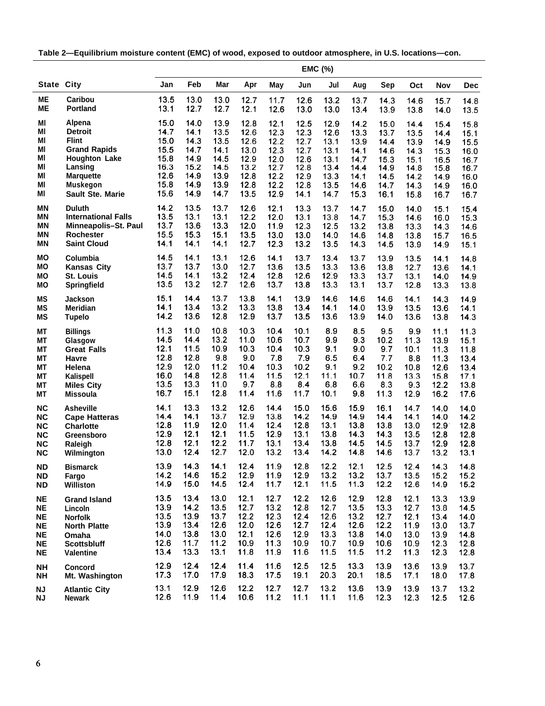**Table 2—Equilibrium moisture content (EMC) of wood, exposed to outdoor atmosphere, in U.S. locations—con.**

|                   |                            |      |      |      |      |      |      | <b>EMC (%)</b> |      |      |      |      |      |
|-------------------|----------------------------|------|------|------|------|------|------|----------------|------|------|------|------|------|
| <b>State City</b> |                            | Jan  | Feb  | Mar  | Apr  | May  | Jun  | Jul            | Aug  | Sep  | Oct  | Nov  | Dec  |
| MΕ                | Caribou                    | 13.5 | 13.0 | 13.0 | 12.7 | 11.7 | 12.6 | 13.2           | 13.7 | 14.3 | 14.6 | 15.7 | 14.8 |
| MЕ                | <b>Portland</b>            | 13.1 | 12.7 | 12.7 | 12.1 | 12.6 | 13.0 | 13.0           | 13.4 | 13.9 | 13.8 | 14.0 | 13.5 |
| MI                | Alpena                     | 15.0 | 14.0 | 13.9 | 12.8 | 12.1 | 12.5 | 12.9           | 14.2 | 15.0 | 14.4 | 15.4 | 15.8 |
| ΜI                | <b>Detroit</b>             | 14.7 | 14.1 | 13.5 | 12.6 | 12.3 | 12.3 | 12.6           | 13.3 | 13.7 | 13.5 | 14.4 | 15.1 |
| ΜI                | <b>Flint</b>               | 15.0 | 14.3 | 13.5 | 12.6 | 12.2 | 12.7 | 13.1           | 13.9 | 14.4 | 13.9 | 14.9 | 15.5 |
| ΜI                | <b>Grand Rapids</b>        | 15.5 | 14.7 | 14.1 | 13.0 | 12.3 | 12.7 | 13.1           | 14.1 | 14.6 | 14.3 | 15.3 | 16.0 |
| ΜI                | <b>Houghton Lake</b>       | 15.8 | 14.9 | 14.5 | 12.9 | 12.0 | 12.6 | 13.1           | 14.7 | 15.3 | 15.1 | 16.5 | 16.7 |
| MI                | Lansing                    | 16.3 | 15.2 | 14.5 | 13.2 | 12.7 | 12.8 | 13.4           | 14.4 | 14.9 | 14.8 | 15.8 | 16.7 |
| MI                | <b>Marquette</b>           | 12.6 | 14.9 | 13.9 | 12.8 | 12.2 | 12.9 | 13.3           | 14.1 | 14.5 | 14.2 | 14.9 | 16.0 |
| MI                | <b>Muskegon</b>            | 15.8 | 14.9 | 13.9 | 12.8 | 12.2 | 12.8 | 13.5           | 14.6 | 14.7 | 14.3 | 14.9 | 16.0 |
| MI                | <b>Sault Ste. Marie</b>    | 15.6 | 14.9 | 14.7 | 13.5 | 12.9 | 14.1 | 14.7           | 15.3 | 16.1 | 15.8 | 16.7 | 16.7 |
| <b>MN</b>         | <b>Duluth</b>              | 14.2 | 13.5 | 13.7 | 12.6 | 12.1 | 13.3 | 13.7           | 14.7 | 15.0 | 14.0 | 15.1 | 15.4 |
| MΝ                | <b>International Falls</b> | 13.5 | 13.1 | 13.1 | 12.2 | 12.0 | 13.1 | 13.8           | 14.7 | 15.3 | 14.6 | 16.0 | 15.3 |
| <b>MN</b>         | Minneapolis-St. Paul       | 13.7 | 13.6 | 13.3 | 12.0 | 11.9 | 12.3 | 12.5           | 13.2 | 13.8 | 13.3 | 14.3 | 14.6 |
| <b>MN</b>         | <b>Rochester</b>           | 15.5 | 15.3 | 15.1 | 13.5 | 13.0 | 13.0 | 14.0           | 14.6 | 14.8 | 13.8 | 15.7 | 16.5 |
| <b>MN</b>         | <b>Saint Cloud</b>         | 14.1 | 14.1 | 14.1 | 12.7 | 12.3 | 13.2 | 13.5           | 14.3 | 14.5 | 13.9 | 14.9 | 15.1 |
| MΟ                | Columbia                   | 14.5 | 14.1 | 13.1 | 12.6 | 14.1 | 13.7 | 13.4           | 13.7 | 13.9 | 13.5 | 14.1 | 14.8 |
| MО                | <b>Kansas City</b>         | 13.7 | 13.7 | 13.0 | 12.7 | 13.6 | 13.5 | 13.3           | 13.6 | 13.8 | 12.7 | 13.6 | 14.1 |
| MO                | <b>St. Louis</b>           | 14.5 | 14.1 | 13.2 | 12.4 | 12.8 | 12.6 | 12.9           | 13.3 | 13.7 | 13.1 | 14.0 | 14.9 |
| ΜO                | Springfield                | 13.5 | 13.2 | 12.7 | 12.6 | 13.7 | 13.8 | 13.3           | 13.1 | 13.7 | 12.8 | 13.3 | 13.8 |
| <b>MS</b>         | Jackson                    | 15.1 | 14.4 | 13.7 | 13.8 | 14.1 | 13.9 | 14.6           | 14.6 | 14.6 | 14.1 | 14.3 | 14.9 |
| ΜS                | <b>Meridian</b>            | 14.1 | 13.4 | 13.2 | 13.3 | 13.8 | 13.4 | 14.1           | 14.0 | 13.9 | 13.5 | 13.6 | 14.1 |
| ΜS                | <b>Tupelo</b>              | 14.2 | 13.6 | 12.8 | 12.9 | 13.7 | 13.5 | 13.6           | 13.9 | 14.0 | 13.6 | 13.8 | 14.3 |
| <b>MT</b>         | <b>Billings</b>            | 11.3 | 11.0 | 10.8 | 10.3 | 10.4 | 10.1 | 8.9            | 8.5  | 9.5  | 9.9  | 11.1 | 11.3 |
| МT                | Glasgow                    | 14.5 | 14.4 | 13.2 | 11.0 | 10.6 | 10.7 | 9.9            | 9.3  | 10.2 | 11.3 | 13.9 | 15.1 |
| МT                | <b>Great Falls</b>         | 12.1 | 11.5 | 10.9 | 10.3 | 10.4 | 10.3 | 9.1            | 9.0  | 9.7  | 10.1 | 11.3 | 11.8 |
| MТ                | Havre                      | 12.8 | 12.8 | 9.8  | 9.0  | 7.8  | 7.9  | 6.5            | 6.4  | 7.7  | 8.8  | 11.3 | 13.4 |
| МT                | Helena                     | 12.9 | 12.0 | 11.2 | 10.4 | 10.3 | 10.2 | 9.1            | 9.2  | 10.2 | 10.8 | 12.6 | 13.4 |
| МT                | Kalispell                  | 16.0 | 14.8 | 12.8 | 11.4 | 11.5 | 12.1 | 11.1           | 10.7 | 11.8 | 13.3 | 15.8 | 17.1 |
| MТ                | <b>Miles City</b>          | 13.5 | 13.3 | 11.0 | 9.7  | 8.8  | 8.4  | 6.8            | 6.6  | 8.3  | 9.3  | 12.2 | 13.8 |
| MТ                | <b>Missoula</b>            | 16.7 | 15.1 | 12.8 | 11.4 | 11.6 | 11.7 | 10.1           | 9.8  | 11.3 | 12.9 | 16.2 | 17.6 |
| NC                | <b>Asheville</b>           | 14.1 | 13.3 | 13.2 | 12.6 | 14.4 | 15.0 | 15.6           | 15.9 | 16.1 | 14.7 | 14.0 | 14.0 |
| <b>NC</b>         | <b>Cape Hatteras</b>       | 14.4 | 14.1 | 13.7 | 12.9 | 13.8 | 14.2 | 14.9           | 14.9 | 14.4 | 14.1 | 14.0 | 14.2 |
| <b>NC</b>         | <b>Charlotte</b>           | 12.8 | 11.9 | 12.0 | 11.4 | 12.4 | 12.8 | 13.1           | 13.8 | 13.8 | 13.0 | 12.9 | 12.8 |
| <b>NC</b>         | Greensboro                 | 12.9 | 12.1 | 12.1 | 11.5 | 12.9 | 13.1 | 13.8           | 14.3 | 14.3 | 13.5 | 12.8 | 12.8 |
| NC                | Raleigh                    | 12.8 | 12.1 | 12.2 | 11.7 | 13.1 | 13.4 | 13.8           | 14.5 | 14.5 | 13.7 | 12.9 | 12.8 |
| <b>NC</b>         | Wilmington                 | 13.0 | 12.4 | 12.7 | 12.0 | 13.2 | 13.4 | 14.2           | 14.8 | 14.6 | 13.7 | 13.2 | 13.1 |
| <b>ND</b>         | <b>Bismarck</b>            | 13.9 | 14.3 | 14.1 | 12.4 | 11.9 | 12.8 | 12.2           | 12.1 | 12.5 | 12.4 | 14.3 | 14.8 |
| ND                | Fargo                      | 14.2 | 14.6 | 15.2 | 12.9 | 11.9 | 12.9 | 13.2           | 13.2 | 13.7 | 13.5 | 15.2 | 15.2 |
| ND                | Williston                  | 14.9 | 15.0 | 14.5 | 12.4 | 11.7 | 12.1 | 11.5           | 11.3 | 12.2 | 12.6 | 14.9 | 15.2 |
| <b>NE</b>         | <b>Grand Island</b>        | 13.5 | 13.4 | 13.0 | 12.1 | 12.7 | 12.2 | 12.6           | 12.9 | 12.8 | 12.1 | 13.3 | 13.9 |
| ΝE                | Lincoln                    | 13.9 | 14.2 | 13.5 | 12.7 | 13.2 | 12.8 | 12.7           | 13.5 | 13.3 | 12.7 | 13.8 | 14.5 |
| NE                | <b>Norfolk</b>             | 13.5 | 13.9 | 13.7 | 12.2 | 12.3 | 12.4 | 12.6           | 13.2 | 12.7 | 12.1 | 13.4 | 14.0 |
| NE                | <b>North Platte</b>        | 13.9 | 13.4 | 12.6 | 12.0 | 12.6 | 12.7 | 12.4           | 12.6 | 12.2 | 11.9 | 13.0 | 13.7 |
| NE                | Omaha                      | 14.0 | 13.8 | 13.0 | 12.1 | 12.6 | 12.9 | 13.3           | 13.8 | 14.0 | 13.0 | 13.9 | 14.8 |
| NE                | <b>Scottsbluff</b>         | 12.6 | 11.7 | 11.2 | 10.9 | 11.3 | 10.9 | 10.7           | 10.9 | 10.6 | 10.9 | 12.3 | 12.8 |
| NE                | <b>Valentine</b>           | 13.4 | 13.3 | 13.1 | 11.8 | 11.9 | 11.6 | 11.5           | 11.5 | 11.2 | 11.3 | 12.3 | 12.8 |
| <b>NH</b>         | Concord                    | 12.9 | 12.4 | 12.4 | 11.4 | 11.6 | 12.5 | 12.5           | 13.3 | 13.9 | 13.6 | 13.9 | 13.7 |
| <b>NH</b>         | Mt. Washington             | 17.3 | 17.0 | 17.9 | 18.3 | 17.5 | 19.1 | 20.3           | 20.1 | 18.5 | 17.1 | 18.0 | 17.8 |
| ΝJ                | <b>Atlantic City</b>       | 13.1 | 12.9 | 12.6 | 12.2 | 12.7 | 12.7 | 13.2           | 13.6 | 13.9 | 13.9 | 13.7 | 13.2 |
| <b>NJ</b>         | <b>Newark</b>              | 12.6 | 11.9 | 11.4 | 10.6 | 11.2 | 11.1 | 11.1           | 11.6 | 12.3 | 12.3 | 12.5 | 12.6 |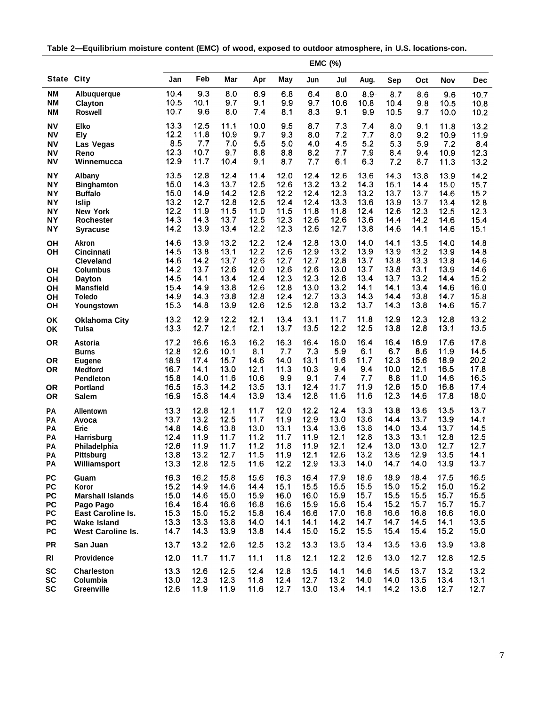**Table 2—Equilibrium moisture content (EMC) of wood, exposed to outdoor atmosphere, in U.S. locations-con.**

|                        |                                     | <b>EMC (%)</b> |              |              |              |              |              |              |              |              |              |              |              |
|------------------------|-------------------------------------|----------------|--------------|--------------|--------------|--------------|--------------|--------------|--------------|--------------|--------------|--------------|--------------|
| <b>State City</b>      |                                     | Jan            | Feb          | Mar          | Apr          | May          | Jun          | Jul          | Aug.         | Sep          | Oct          | Nov          | <b>Dec</b>   |
| ΝM                     | Albuquerque                         | 10.4           | 9.3          | 8.0          | 6.9          | 6.8          | 6.4          | 8.0          | $8.9 -$      | 8.7          | 8.6          | 9.6          | 10.7         |
| <b>NM</b><br><b>NM</b> | Clayton<br><b>Roswell</b>           | 10.5<br>10.7   | 10.1<br>9.6  | 9.7<br>8.0   | 9.1<br>7.4   | 9.9<br>8.1   | 9.7<br>8.3   | 10.6<br>9.1  | 10.8<br>9.9  | 10.4<br>10.5 | 9.8<br>9.7   | 10.5<br>10.0 | 10.8<br>10.2 |
| <b>NV</b>              | Elko                                | 13.3           | 12.5         | 11.1         | 10.0         | 9.5          | 8.7          | 7.3          | 7.4          | 8.0          | 9.1          | 11.8         | 13.2         |
| ΝV                     | <b>Ely</b>                          | 12.2           | 11.8         | 10.9         | 9.7          | 9.3          | 8.0          | 7.2          | 7.7          | 8.0          | 9.2          | 10.9         | 11.9         |
| NV                     | Las Vegas                           | 8.5            | 7.7          | 7.0          | 5.5          | 5.0          | 4.0          | 4.5          | 5.2          | 5.3          | 5.9          | 7.2          | 8.4          |
| <b>NV</b>              | Reno                                | 12.3<br>12.9   | 10.7<br>11.7 | 9.7<br>10.4  | 8.8          | 8.8          | 8.2<br>7.7   | 7.7<br>6.1   | 7.9          | 8.4          | 9.4          | 10.9         | 12.3         |
| <b>NV</b>              | Winnemucca                          |                |              |              | 9.1          | 8.7          |              |              | 6.3          | 7.2          | 8.7          | 11.3         | 13.2         |
| <b>NY</b><br><b>NY</b> | Albany<br><b>Binghamton</b>         | 13.5<br>15.0   | 12.8<br>14.3 | 12.4<br>13.7 | 11.4<br>12.5 | 12.0<br>12.6 | 12.4<br>13.2 | 12.6<br>13.2 | 13.6<br>14.3 | 14.3<br>15.1 | 13.8<br>14.4 | 13.9<br>15.0 | 14.2<br>15.7 |
| <b>NY</b>              | <b>Buffalo</b>                      | 15.0           | 14.9         | 14.2         | 12.6         | 12.2         | 12.4         | 12.3         | 13.2         | 13.7         | 13.7         | 14.6         | 15.2         |
| <b>NY</b>              | <b>Islip</b>                        | 13.2           | 12.7         | 12.8         | 12.5         | 12.4         | 12.4         | 13.3         | 13.6         | 13.9         | 13.7         | 13.4         | 12.8         |
| <b>NY</b>              | <b>New York</b>                     | 12.2           | 11.9         | 11.5         | 11.0         | 11.5         | 11.8         | 11.8         | 12.4         | 12.6         | 12.3         | 12.5         | 12.3         |
| <b>NY</b><br><b>NY</b> | <b>Rochester</b><br><b>Syracuse</b> | 14.3<br>14.2   | 14.3<br>13.9 | 13.7<br>13.4 | 12.5<br>12.2 | 12.3<br>12.3 | 12.6<br>12.6 | 12.6<br>12.7 | 13.6<br>13.8 | 14.4<br>14.6 | 14.2<br>14.1 | 14.6<br>14.6 | 15.4<br>15,1 |
|                        |                                     |                |              |              |              |              |              |              |              |              |              |              |              |
| OH<br>OH               | <b>Akron</b><br><b>Cincinnati</b>   | 14.6<br>14.5   | 13.9<br>13.8 | 13.2<br>13.1 | 12.2<br>12.2 | 12.4<br>12.6 | 12.8<br>12.9 | 13.0<br>13.2 | 14.0<br>13.9 | 14.1<br>13.9 | 13.5<br>13.2 | 14.0<br>13.9 | 14.8<br>14.8 |
|                        | <b>Cleveland</b>                    | 14.6           | 14.2         | 13.7         | 12.6         | 12.7         | 12.7         | 12.8         | 13.7         | 13.8         | 13.3         | 13.8         | 14.6         |
| <b>OH</b>              | <b>Columbus</b>                     | 14.2           | 13.7         | 12.6         | 12.0         | 12.6         | 12.6         | 13.0         | 13.7         | 13.8         | 13.1         | 13.9         | 14.6         |
| OH                     | <b>Dayton</b>                       | 14.5           | 14.1         | 13.4         | 12.4         | 12.3         | 12.3         | 12.6         | 13.4         | 13.7         | 13.2         | 14.4         | 15.2         |
| OH                     | <b>Mansfield</b>                    | 15.4<br>14.9   | 14.9<br>14.3 | 13.8<br>13.8 | 12.6<br>12.8 | 12.8<br>12.4 | 13.0<br>12.7 | 13.2<br>13.3 | 14.1<br>14.3 | 14.1<br>14.4 | 13.4<br>13.8 | 14.6<br>14.7 | 16.0<br>15.8 |
| OH<br>OH               | Toledo<br>Youngstown                | 15.3           | 14.8         | 13.9         | 12.6         | 12.5         | 12.8         | 13.2         | 13.7         | 14.3         | 13.8         | 14.6         | 15.7         |
| OK                     | <b>Oklahoma City</b>                | 13.2           | 12.9         | 12.2         | 12.1         | 13.4         | 13.1         | 11.7         | 11.8         | 12.9         | 12.3         | 12.8         | 13.2         |
| OK                     | Tulsa                               | 13.3           | 12.7         | 12.1         | 12.1         | 13.7         | 13.5         | 12.2         | 12.5         | 13.8         | 12.8         | 13.1         | 13.5         |
| <b>OR</b>              | Astoria                             | 17.2           | 16.6         | 16.3         | 16.2         | 16.3         | 16.4         | 16.0         | 16.4         | 16.4         | 16.9         | 17.6         | 17.8         |
|                        | <b>Burns</b>                        | 12.8           | 12.6         | 10.1         | 8.1          | 7.7          | 7.3          | 5.9          | 6.1          | 6.7          | 8.6          | 11.9         | 14.5         |
| <b>OR</b><br><b>OR</b> | <b>Eugene</b><br><b>Medford</b>     | 18.9<br>16.7   | 17.4<br>14.1 | 15.7<br>13.0 | 14.6<br>12.1 | 14.0<br>11.3 | 13.1<br>10.3 | 11.6<br>9.4  | 11.7<br>9.4  | 12.3<br>10.0 | 15.6<br>12.1 | 18.9<br>16.5 | 20.2<br>17.8 |
|                        | <b>Pendleton</b>                    | 15.8           | 14.0         | 11.6         | 10.6         | 9.9          | 9.1          | 7.4          | 7.7          | 8.8          | 11.0         | 14.6         | 16.5         |
| <b>OR</b>              | <b>Portland</b>                     | 16.5           | 15.3         | 14.2         | 13.5         | 13.1         | 12.4         | 11.7         | 11.9         | 12.6         | 15.0         | 16.8         | 17.4         |
| <b>OR</b>              | <b>Salem</b>                        | 16.9           | 15.8         | 14.4         | 13.9         | 13.4         | 12.8         | 11.6         | 11.6         | 12.3         | 14.6         | 17.8         | 18.0         |
| PA                     | Allentown                           | 13.3           | 12.8         | 12.1         | 11.7         | 12.0         | 12.2         | 12.4         | 13.3         | 13.8         | 13.6         | 13.5         | 13.7         |
| PA                     | Avoca<br>Erie                       | 13.7<br>14.8   | 13.2<br>14.6 | 12.5<br>13.8 | 11.7<br>13.0 | 11.9<br>13.1 | 12.9<br>13.4 | 13.0<br>13.6 | 13.6<br>13.8 | 14.4<br>14.0 | 13.7<br>13.4 | 13.9<br>13.7 | 14.1<br>14.5 |
| PA<br>PA               | Harrisburg                          | 12.4           | 11.9         | 11.7         | 11.2         | 11.7         | 11.9         | 12.1         | 12.8         | 13.3         | 13.1         | 12.8         | 12.5         |
| PA                     | Philadelphia                        | 12.6           | 11.9         | 11.7         | 11.2         | 11.8         | 11.9         | 12.1         | 12.4         | 13.0         | 13.0         | 12.7         | 12.7         |
| PA                     | Pittsburg                           | 13.8           | 13.2         | 12.7         | 11.5         | 11.9         | 12.1         | 12.6         | 13.2         | 13.6         | 12.9         | 13.5         | 14.1         |
| PA                     | Williamsport                        | 13.3           | 12.8         | 12.5         | 11.6         | 12.2         | 12.9         | 13.3         | 14.0         | 14.7         | 14.0         | 13.9         | 13.7         |
| PC                     | Guam                                | 16.3           | 16.2         | 15.8         | 15.6         | 16.3         | 16.4         | 17.9         | 18.6         | 18.9         | 18.4         | 17.5         | 16.5         |
| PC<br>PC               | Koror<br><b>Marshall Islands</b>    | 15.2<br>15.0   | 14.9<br>14.6 | 14.6<br>15.0 | 14.4<br>15.9 | 15.1<br>16.0 | 15.5<br>16.0 | 15.5<br>15.9 | 15.5<br>15.7 | 15.0<br>15.5 | 15.2<br>15.5 | 15.0<br>15.7 | 15.2<br>15.5 |
| PC                     | Pago Pago                           | 16.4           | 16.4         | 16.6         | 16.8         | 16.6         | 15.9         | 15.6         | 15.4         | 15.2         | 15.7         | 15.7         | 15.7         |
| PC                     | East Caroline Is.                   | 15.3           | 15.0         | 15.2         | 15.8         | 16.4         | 16.6         | 17.0         | 16.8         | 16.6         | 16.8         | 16.6         | 16.0         |
| PC                     | <b>Wake Island</b>                  | 13.3           | 13.3         | 13.8         | 14.0         | 14.1         | 14.1         | 14.2         | 14.7         | 14.7         | 14.5         | 14.1         | 13.5         |
| PC                     | <b>West Caroline Is.</b>            | 14.7           | 14.3         | 13.9         | 13.8         | 14.4         | 15.0         | 15.2         | 15.5         | 15.4         | 15.4         | 15.2         | 15.0         |
| <b>PR</b>              | San Juan                            | 13.7           | 13.2         | 12.6         | 12.5         | 13.2         | 13.3         | 13.5         | 13.4         | 13.5         | 13.6         | 13.9         | 13.8         |
| RI                     | Providence                          | 12.0           | 11.7         | 11.7         | 11.1         | 11.8         | 12.1         | 12.2         | 12.6         | 13.0         | 12.7         | 12.8         | 12.5         |
| <b>SC</b><br><b>SC</b> | <b>Charleston</b><br>Columbia       | 13.3<br>13.0   | 12.6<br>12.3 | 12.5<br>12.3 | 12.4<br>11.8 | 12.8<br>12.4 | 13.5<br>12.7 | 14.1<br>13.2 | 14.6<br>14.0 | 14.5<br>14.0 | 13.7<br>13.5 | 13.2<br>13.4 | 13.2<br>13.1 |
| <b>SC</b>              | Greenville                          | 12.6           | 11.9         | 11.9         | 11.6         | 12.7         | 13.0         | 13.4         | 14.1         | 14.2         | 13.6         | 12.7         | 12.7         |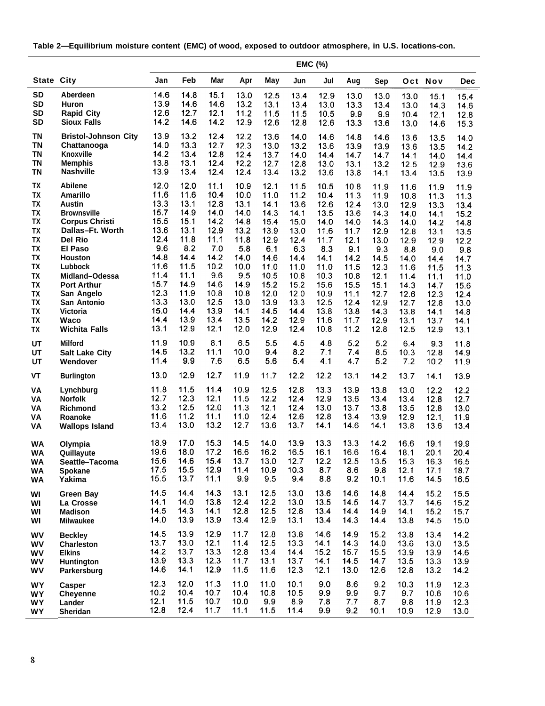**Table 2—Equilibrium moisture content (EMC) of wood, exposed to outdoor atmosphere, in U.S. Iocations-con.**

| <b>State City</b><br>Jan<br>Feb<br>Mar<br>Apr<br>May<br>Jun<br>Jul<br>Sep<br>Oct Nov<br>Aug<br><b>SD</b><br><b>Aberdeen</b><br>14.6<br>14.8<br>15.1<br>13.0<br>12.5<br>13.4<br>12.9<br>13.0<br>13.0<br>13.0<br>15.1<br>15.4<br><b>SD</b><br>13.9<br>14.6<br>Huron<br>14.6<br>13.2<br>13.1<br>13.4<br>13.0<br>13.3<br>13.4<br>13.0<br>14.3<br>14.6<br>12.7<br><b>SD</b><br><b>Rapid City</b><br>12.6<br>12.1<br>11.2<br>11.5<br>11.5<br>10.5<br>9.9<br>9.9<br>10.4<br>12.1<br>12.8<br>14.2<br><b>SD</b><br><b>Sioux Falls</b><br>14.6<br>14.2<br>12.9<br>12.6<br>12.8<br>12.6<br>13.3<br>13.6<br>13.0<br>15.3<br>14.6<br>13.2<br><b>TN</b><br><b>Bristol-Johnson City</b><br>13.9<br>12.4<br>12.2<br>13.6<br>14.0<br>14.6<br>14.8<br>14.6<br>13.6<br>13.5<br>14.0<br><b>TN</b><br>13.3<br>12.7<br>14.0<br>12.3<br>13.2<br>Chattanooga<br>13.0<br>13.6<br>13.9<br>13.9<br>13.6<br>13.5<br>14.2<br><b>TN</b><br>14.2<br>13.4<br>12.8<br>Knoxville<br>12.4<br>13.7<br>14.0<br>14.4<br>14.7<br>14.7<br>14.1<br>14.0<br>14.4<br><b>TN</b><br>13.8<br>13.1<br>12.4<br><b>Memphis</b><br>12.2<br>12.7<br>12.8<br>13.0<br>13.1<br>13.2<br>12.5<br>13.6<br>12.9<br><b>TN</b><br>13.9<br>13.4<br>12.4<br><b>Nashville</b><br>12.4<br>13.4<br>13.2<br>13.6<br>13.8<br>14.1<br>13.4<br>13.5<br>13.9<br><b>TX</b><br><b>Abilene</b><br>12.0<br>12.0<br>11.1<br>10.9<br>12.1<br>11.5<br>10.5<br>10.8<br>11.9<br>11.6<br>11.9<br>11.9<br>TX<br><b>Amarillo</b><br>11.6<br>11.6<br>10.4<br>10.0<br>11.0<br>11.2<br>10.4<br>11.3<br>11.9<br>10.8<br>11.3<br>11.3<br><b>TX</b><br>13.3<br>13.1<br>12.8<br><b>Austin</b><br>13.1<br>14.1<br>13.6<br>12.6<br>12.4<br>13.0<br>12.9<br>13.3<br>13.4<br>TX<br>15.7<br>14.9<br>14.0<br><b>Brownsville</b><br>14.0<br>14.3<br>13.5<br>14.1<br>13.6<br>14.3<br>14.0<br>14.1<br>15.2<br><b>TX</b><br>15.5<br><b>Corpus Christi</b><br>15.1<br>14.2<br>14.8<br>15.4<br>15.0<br>14.0<br>14.0<br>14.3<br>14.0<br>14.2<br>14.8<br>TX<br>13.6<br>13.1<br>12.9<br>Dallas-Ft. Worth<br>13.2<br>13.9<br>13.0<br>11.6<br>11.7<br>12.9<br>12.8<br>13.1<br>13.5<br>12.4<br>TX<br>11.8<br>11.1<br>11.8<br>12.9<br>Del Rio<br>12.4<br>11.7<br>12.1<br>13.0<br>12.9<br>12.9<br>12.2<br>9.6<br>8.2<br>7.0<br><b>TX</b><br>5.8<br><b>El Paso</b><br>6.1<br>6.3<br>8.3<br>9.1<br>9.3<br>8.8<br>9.0<br>9.8<br><b>TX</b><br>14.8<br>14.4<br>14.2<br><b>Houston</b><br>14.0<br>14.6<br>14.4<br>14.1<br>14.2<br>14.5<br>14.0<br>14.4<br>14.7<br>TX<br>11.6<br>11.5<br>10.2<br>10.0<br>11.0<br>11.0<br>Lubbock<br>11.0<br>11.5<br>12.3<br>11.6<br>11.5<br>11.3<br>11.4<br>9.6<br><b>TX</b><br>11.1<br>9.5<br>10.8<br>10.5<br>10.3<br>10.8<br>12.1<br>Midland-Odessa<br>11.4<br>11.1<br>11.0<br>15.7<br><b>TX</b><br>14.9<br>14.6<br>15.2<br>15.2<br>14.9<br>15.6<br>15.1<br><b>Port Arthur</b><br>15.5<br>14.3<br>14.7<br>15.6<br>12.3<br>11.9<br>10.8<br><b>TX</b><br>10.8<br>12.0<br>12.0<br>10.9<br>San Angelo<br>11.1<br>12.7<br>12.6<br>12.3<br>12.4<br>13.3<br>13.0<br>12.5<br>TX<br>13.0<br>13.9<br>13.3<br>12.5<br>San Antonio<br>12.4<br>12.9<br>12.7<br>12.8<br>13.0<br>15.0<br>14.4<br>13.9<br><b>TX</b><br>14.1<br>13.8<br><b>Victoria</b><br>14.5<br>14.4<br>13.8<br>14.3<br>13.8<br>14.1<br>14.8<br><b>TX</b><br>14.4<br>13.9<br>13.4<br>13.5<br>14.2<br>12.9<br>11.6<br>11.7<br>12.9<br>Waco<br>13.1<br>13.7<br>14.1<br><b>TX</b><br>13.1<br>12.9<br>12.1<br>12.0<br>12.9<br>12.4<br>10.8<br>11.2<br>12.8<br><b>Wichita Falls</b><br>12.5<br>12.9<br>13.1<br>10.9<br>8.1<br>6.5<br>5.5<br>11.9<br>4.5<br>4.8<br>5.2<br>5.2<br>UT<br><b>Milford</b><br>6.4<br>9.3<br>11.8<br>13.2<br>11.1<br>8.2<br>14.6<br>10.0<br>9.4<br>7.1<br>7.4<br>8.5<br>UT<br>10.3<br>12.8<br>14.9<br><b>Salt Lake City</b><br>9.9<br>7.6<br>11.4<br>6.5<br>5.6<br>5.4<br>4.1<br>5.2<br>4.7<br>7.2<br>UT<br>Wendover<br>10.2<br>11.9<br>13.0<br>12.9<br>12.7<br>11.9<br>11.7<br>12.2<br>12.2<br>13.1<br>VT<br>14.2<br>13.7<br>14.1<br>13.9<br><b>Burlington</b><br>11.8<br>11.5<br>11.4<br>10.9<br>12.5<br>12.8<br>13.3<br>13.9<br>13.8<br>VA<br>13.0<br>12.2<br>12.2<br>Lynchburg<br>12.7<br>12.3<br>12.1<br>11.5<br>12.2<br>12.4<br>12.9<br>13.6<br><b>Norfolk</b><br>13.4<br>13.4<br>12.8<br>12.7<br>VA<br>13.2<br>12.0<br>12.5<br>11.3<br>12.1<br>12.4<br>13.0<br>13.7<br>13.8<br>13.5<br>12.8<br>13.0<br>VA<br><b>Richmond</b><br>11.6<br>11.2<br>11.1<br>11.0<br>12.4<br>12.6<br>12.8<br>13.4<br>13.9<br>12.9<br>12.1<br>11.9<br>VA<br>Roanoke<br>13.4<br>13.0<br>13.2<br>12.7<br>13.6<br>13.7<br>14.1<br>14.6<br>14.1<br>13.8<br>13.6<br>13.4<br>VA<br><b>Wallops Island</b><br>18.9<br>15.3<br>17.0<br>14.5<br>14.0<br>13.9<br>13.3<br>13.3<br>14.2<br>16.6<br>19.1<br>19.9<br><b>WA</b><br>Olympia<br>19.6<br>18.0<br>17.2<br>16.6<br>16.2<br>16.5<br>16.1<br>16.6<br>16.4<br>18.1<br>20.1<br>20.4<br>Quillayute<br><b>WA</b><br>15.6<br>14.6<br>15.4<br>13.7<br>13.0<br>12.7<br>12.2<br>12.5<br>13.5<br>16.5<br>15.3<br>16.3<br>Seattle-Tacoma<br>WA<br>17.5<br>15.5<br>11.4<br>12.9<br>10.9<br>10.3<br>8.7<br>8.6<br>9.8<br>12.1<br>17.1<br>18.7<br>WA<br><b>Spokane</b><br>15.5<br>13.7<br>11.1<br>9.9<br>9.5<br>9.4<br>8.8<br>9.2<br>10.1<br>11.6<br>14.5<br>16.5<br>WA<br>Yakima<br>14.5<br>14.3<br>14.4<br>13.1<br>12.5<br>13.0<br>13.6<br>14.6<br>14.8<br>15.2<br>15.5<br>14.4<br><b>Green Bay</b><br>WI<br>12.4<br>14.1<br>14.0<br>13.8<br>12.2<br>13.0<br>13.5<br>14.5<br>14.7<br>13.7<br>14.6<br>15.2<br>WI<br>La Crosse<br>14.5<br>14.3<br>14.1<br>12.8<br>12.5<br>12.8<br>13.4<br>14.4<br>14.9<br>14.1<br>15.2<br>15.7<br>WI<br><b>Madison</b><br>13.9<br>13.9<br>13.4<br>14.0<br>12.9<br>13.1<br>13.4<br>14.3<br>13.8<br>15.0<br>14.4<br>14.5<br>WI<br><b>Milwaukee</b><br>14.5<br>13.9<br>12.9<br>11.7<br>12.8<br>13.8<br>14.6<br>14.9<br>15.2<br>13.8<br>14.2<br>13.4<br>WV<br><b>Beckley</b><br>13.7<br>13.0<br>12.1<br>11.4<br>12.5<br>13.3<br>14.1<br>14.3<br>13.5<br>14.0<br>13.6<br>13.0<br>WV<br><b>Charleston</b><br>14.2<br>13.7<br>13.3<br>12.8<br>13.4<br>15.2<br>14.4<br>15.7<br>15.5<br>13.9<br>13.9<br>14.6<br>WV<br><b>Elkins</b><br>13.9<br>13.3<br>11.7<br>12.3<br>13.1<br>13.7<br>14.1<br>14.5<br>14.7<br>13.5<br>13.3<br>13.9<br>WV<br><b>Huntington</b><br>14.6<br>12.9<br>14.1<br>11.5<br>11.6<br>12.3<br>12.1<br>13.0<br>12.6<br>12.8<br>13.2<br>14.2<br>WV<br>Parkersburg<br>12.3<br>12.0<br>11.3<br>11.0<br>11.0<br>10.1<br>9.0<br>8.6<br>9.2<br>10.3<br>11.9<br>12.3<br>WY<br><b>Casper</b><br>10.2<br>10.4<br>10.7<br>10.4<br>10.8<br>9.9<br>10.5<br>9.9<br>9.7<br>9.7<br>10.6<br>10.6<br>WY<br><b>Cheyenne</b><br>12.1<br>10.7<br>11.5<br>10.0<br>9.9<br>8.9<br>7.8<br>7.7<br>8.7<br>9.8<br>11.9<br>12.3<br>WY<br>Lander |  | EMC (%) |  |  |  |  |  |  |  |  |  |  |     |
|----------------------------------------------------------------------------------------------------------------------------------------------------------------------------------------------------------------------------------------------------------------------------------------------------------------------------------------------------------------------------------------------------------------------------------------------------------------------------------------------------------------------------------------------------------------------------------------------------------------------------------------------------------------------------------------------------------------------------------------------------------------------------------------------------------------------------------------------------------------------------------------------------------------------------------------------------------------------------------------------------------------------------------------------------------------------------------------------------------------------------------------------------------------------------------------------------------------------------------------------------------------------------------------------------------------------------------------------------------------------------------------------------------------------------------------------------------------------------------------------------------------------------------------------------------------------------------------------------------------------------------------------------------------------------------------------------------------------------------------------------------------------------------------------------------------------------------------------------------------------------------------------------------------------------------------------------------------------------------------------------------------------------------------------------------------------------------------------------------------------------------------------------------------------------------------------------------------------------------------------------------------------------------------------------------------------------------------------------------------------------------------------------------------------------------------------------------------------------------------------------------------------------------------------------------------------------------------------------------------------------------------------------------------------------------------------------------------------------------------------------------------------------------------------------------------------------------------------------------------------------------------------------------------------------------------------------------------------------------------------------------------------------------------------------------------------------------------------------------------------------------------------------------------------------------------------------------------------------------------------------------------------------------------------------------------------------------------------------------------------------------------------------------------------------------------------------------------------------------------------------------------------------------------------------------------------------------------------------------------------------------------------------------------------------------------------------------------------------------------------------------------------------------------------------------------------------------------------------------------------------------------------------------------------------------------------------------------------------------------------------------------------------------------------------------------------------------------------------------------------------------------------------------------------------------------------------------------------------------------------------------------------------------------------------------------------------------------------------------------------------------------------------------------------------------------------------------------------------------------------------------------------------------------------------------------------------------------------------------------------------------------------------------------------------------------------------------------------------------------------------------------------------------------------------------------------------------------------------------------------------------------------------------------------------------------------------------------------------------------------------------------------------------------------------------------------------------------------------------------------------------------------------------------------------------------------------------------------------------------------------------------------------------------------------------------------------------------------------------------------------------------------------------------------------------------------------------------------------------------------------------------------------------------------------------------------------------------------------------------------------------------------------------------------------------------------------------------------------------------------------------------------------------------------------------------------------------------------------------------------------------------------------------------------------------------------------------------------------------------------------------------------------------------------------------------------------------------------------------------------------------------------------------------------------------------------------------------------------------------------------------------------------------------------------------------------------------------------------------------------------------------------------------------------------------------------------------------------------------------------------------------------------------------------------------------------------------------------------------------------------------------------------------------|--|---------|--|--|--|--|--|--|--|--|--|--|-----|
|                                                                                                                                                                                                                                                                                                                                                                                                                                                                                                                                                                                                                                                                                                                                                                                                                                                                                                                                                                                                                                                                                                                                                                                                                                                                                                                                                                                                                                                                                                                                                                                                                                                                                                                                                                                                                                                                                                                                                                                                                                                                                                                                                                                                                                                                                                                                                                                                                                                                                                                                                                                                                                                                                                                                                                                                                                                                                                                                                                                                                                                                                                                                                                                                                                                                                                                                                                                                                                                                                                                                                                                                                                                                                                                                                                                                                                                                                                                                                                                                                                                                                                                                                                                                                                                                                                                                                                                                                                                                                                                                                                                                                                                                                                                                                                                                                                                                                                                                                                                                                                                                                                                                                                                                                                                                                                                                                                                                                                                                                                                                                                                                                                                                                                                                                                                                                                                                                                                                                                                                                                                                                                                                                                                                                                                                                                                                                                                                                                                                                                                                                                                                                                                                |  |         |  |  |  |  |  |  |  |  |  |  | Dec |
|                                                                                                                                                                                                                                                                                                                                                                                                                                                                                                                                                                                                                                                                                                                                                                                                                                                                                                                                                                                                                                                                                                                                                                                                                                                                                                                                                                                                                                                                                                                                                                                                                                                                                                                                                                                                                                                                                                                                                                                                                                                                                                                                                                                                                                                                                                                                                                                                                                                                                                                                                                                                                                                                                                                                                                                                                                                                                                                                                                                                                                                                                                                                                                                                                                                                                                                                                                                                                                                                                                                                                                                                                                                                                                                                                                                                                                                                                                                                                                                                                                                                                                                                                                                                                                                                                                                                                                                                                                                                                                                                                                                                                                                                                                                                                                                                                                                                                                                                                                                                                                                                                                                                                                                                                                                                                                                                                                                                                                                                                                                                                                                                                                                                                                                                                                                                                                                                                                                                                                                                                                                                                                                                                                                                                                                                                                                                                                                                                                                                                                                                                                                                                                                                |  |         |  |  |  |  |  |  |  |  |  |  |     |
|                                                                                                                                                                                                                                                                                                                                                                                                                                                                                                                                                                                                                                                                                                                                                                                                                                                                                                                                                                                                                                                                                                                                                                                                                                                                                                                                                                                                                                                                                                                                                                                                                                                                                                                                                                                                                                                                                                                                                                                                                                                                                                                                                                                                                                                                                                                                                                                                                                                                                                                                                                                                                                                                                                                                                                                                                                                                                                                                                                                                                                                                                                                                                                                                                                                                                                                                                                                                                                                                                                                                                                                                                                                                                                                                                                                                                                                                                                                                                                                                                                                                                                                                                                                                                                                                                                                                                                                                                                                                                                                                                                                                                                                                                                                                                                                                                                                                                                                                                                                                                                                                                                                                                                                                                                                                                                                                                                                                                                                                                                                                                                                                                                                                                                                                                                                                                                                                                                                                                                                                                                                                                                                                                                                                                                                                                                                                                                                                                                                                                                                                                                                                                                                                |  |         |  |  |  |  |  |  |  |  |  |  |     |
|                                                                                                                                                                                                                                                                                                                                                                                                                                                                                                                                                                                                                                                                                                                                                                                                                                                                                                                                                                                                                                                                                                                                                                                                                                                                                                                                                                                                                                                                                                                                                                                                                                                                                                                                                                                                                                                                                                                                                                                                                                                                                                                                                                                                                                                                                                                                                                                                                                                                                                                                                                                                                                                                                                                                                                                                                                                                                                                                                                                                                                                                                                                                                                                                                                                                                                                                                                                                                                                                                                                                                                                                                                                                                                                                                                                                                                                                                                                                                                                                                                                                                                                                                                                                                                                                                                                                                                                                                                                                                                                                                                                                                                                                                                                                                                                                                                                                                                                                                                                                                                                                                                                                                                                                                                                                                                                                                                                                                                                                                                                                                                                                                                                                                                                                                                                                                                                                                                                                                                                                                                                                                                                                                                                                                                                                                                                                                                                                                                                                                                                                                                                                                                                                |  |         |  |  |  |  |  |  |  |  |  |  |     |
|                                                                                                                                                                                                                                                                                                                                                                                                                                                                                                                                                                                                                                                                                                                                                                                                                                                                                                                                                                                                                                                                                                                                                                                                                                                                                                                                                                                                                                                                                                                                                                                                                                                                                                                                                                                                                                                                                                                                                                                                                                                                                                                                                                                                                                                                                                                                                                                                                                                                                                                                                                                                                                                                                                                                                                                                                                                                                                                                                                                                                                                                                                                                                                                                                                                                                                                                                                                                                                                                                                                                                                                                                                                                                                                                                                                                                                                                                                                                                                                                                                                                                                                                                                                                                                                                                                                                                                                                                                                                                                                                                                                                                                                                                                                                                                                                                                                                                                                                                                                                                                                                                                                                                                                                                                                                                                                                                                                                                                                                                                                                                                                                                                                                                                                                                                                                                                                                                                                                                                                                                                                                                                                                                                                                                                                                                                                                                                                                                                                                                                                                                                                                                                                                |  |         |  |  |  |  |  |  |  |  |  |  |     |
|                                                                                                                                                                                                                                                                                                                                                                                                                                                                                                                                                                                                                                                                                                                                                                                                                                                                                                                                                                                                                                                                                                                                                                                                                                                                                                                                                                                                                                                                                                                                                                                                                                                                                                                                                                                                                                                                                                                                                                                                                                                                                                                                                                                                                                                                                                                                                                                                                                                                                                                                                                                                                                                                                                                                                                                                                                                                                                                                                                                                                                                                                                                                                                                                                                                                                                                                                                                                                                                                                                                                                                                                                                                                                                                                                                                                                                                                                                                                                                                                                                                                                                                                                                                                                                                                                                                                                                                                                                                                                                                                                                                                                                                                                                                                                                                                                                                                                                                                                                                                                                                                                                                                                                                                                                                                                                                                                                                                                                                                                                                                                                                                                                                                                                                                                                                                                                                                                                                                                                                                                                                                                                                                                                                                                                                                                                                                                                                                                                                                                                                                                                                                                                                                |  |         |  |  |  |  |  |  |  |  |  |  |     |
|                                                                                                                                                                                                                                                                                                                                                                                                                                                                                                                                                                                                                                                                                                                                                                                                                                                                                                                                                                                                                                                                                                                                                                                                                                                                                                                                                                                                                                                                                                                                                                                                                                                                                                                                                                                                                                                                                                                                                                                                                                                                                                                                                                                                                                                                                                                                                                                                                                                                                                                                                                                                                                                                                                                                                                                                                                                                                                                                                                                                                                                                                                                                                                                                                                                                                                                                                                                                                                                                                                                                                                                                                                                                                                                                                                                                                                                                                                                                                                                                                                                                                                                                                                                                                                                                                                                                                                                                                                                                                                                                                                                                                                                                                                                                                                                                                                                                                                                                                                                                                                                                                                                                                                                                                                                                                                                                                                                                                                                                                                                                                                                                                                                                                                                                                                                                                                                                                                                                                                                                                                                                                                                                                                                                                                                                                                                                                                                                                                                                                                                                                                                                                                                                |  |         |  |  |  |  |  |  |  |  |  |  |     |
|                                                                                                                                                                                                                                                                                                                                                                                                                                                                                                                                                                                                                                                                                                                                                                                                                                                                                                                                                                                                                                                                                                                                                                                                                                                                                                                                                                                                                                                                                                                                                                                                                                                                                                                                                                                                                                                                                                                                                                                                                                                                                                                                                                                                                                                                                                                                                                                                                                                                                                                                                                                                                                                                                                                                                                                                                                                                                                                                                                                                                                                                                                                                                                                                                                                                                                                                                                                                                                                                                                                                                                                                                                                                                                                                                                                                                                                                                                                                                                                                                                                                                                                                                                                                                                                                                                                                                                                                                                                                                                                                                                                                                                                                                                                                                                                                                                                                                                                                                                                                                                                                                                                                                                                                                                                                                                                                                                                                                                                                                                                                                                                                                                                                                                                                                                                                                                                                                                                                                                                                                                                                                                                                                                                                                                                                                                                                                                                                                                                                                                                                                                                                                                                                |  |         |  |  |  |  |  |  |  |  |  |  |     |
|                                                                                                                                                                                                                                                                                                                                                                                                                                                                                                                                                                                                                                                                                                                                                                                                                                                                                                                                                                                                                                                                                                                                                                                                                                                                                                                                                                                                                                                                                                                                                                                                                                                                                                                                                                                                                                                                                                                                                                                                                                                                                                                                                                                                                                                                                                                                                                                                                                                                                                                                                                                                                                                                                                                                                                                                                                                                                                                                                                                                                                                                                                                                                                                                                                                                                                                                                                                                                                                                                                                                                                                                                                                                                                                                                                                                                                                                                                                                                                                                                                                                                                                                                                                                                                                                                                                                                                                                                                                                                                                                                                                                                                                                                                                                                                                                                                                                                                                                                                                                                                                                                                                                                                                                                                                                                                                                                                                                                                                                                                                                                                                                                                                                                                                                                                                                                                                                                                                                                                                                                                                                                                                                                                                                                                                                                                                                                                                                                                                                                                                                                                                                                                                                |  |         |  |  |  |  |  |  |  |  |  |  |     |
|                                                                                                                                                                                                                                                                                                                                                                                                                                                                                                                                                                                                                                                                                                                                                                                                                                                                                                                                                                                                                                                                                                                                                                                                                                                                                                                                                                                                                                                                                                                                                                                                                                                                                                                                                                                                                                                                                                                                                                                                                                                                                                                                                                                                                                                                                                                                                                                                                                                                                                                                                                                                                                                                                                                                                                                                                                                                                                                                                                                                                                                                                                                                                                                                                                                                                                                                                                                                                                                                                                                                                                                                                                                                                                                                                                                                                                                                                                                                                                                                                                                                                                                                                                                                                                                                                                                                                                                                                                                                                                                                                                                                                                                                                                                                                                                                                                                                                                                                                                                                                                                                                                                                                                                                                                                                                                                                                                                                                                                                                                                                                                                                                                                                                                                                                                                                                                                                                                                                                                                                                                                                                                                                                                                                                                                                                                                                                                                                                                                                                                                                                                                                                                                                |  |         |  |  |  |  |  |  |  |  |  |  |     |
|                                                                                                                                                                                                                                                                                                                                                                                                                                                                                                                                                                                                                                                                                                                                                                                                                                                                                                                                                                                                                                                                                                                                                                                                                                                                                                                                                                                                                                                                                                                                                                                                                                                                                                                                                                                                                                                                                                                                                                                                                                                                                                                                                                                                                                                                                                                                                                                                                                                                                                                                                                                                                                                                                                                                                                                                                                                                                                                                                                                                                                                                                                                                                                                                                                                                                                                                                                                                                                                                                                                                                                                                                                                                                                                                                                                                                                                                                                                                                                                                                                                                                                                                                                                                                                                                                                                                                                                                                                                                                                                                                                                                                                                                                                                                                                                                                                                                                                                                                                                                                                                                                                                                                                                                                                                                                                                                                                                                                                                                                                                                                                                                                                                                                                                                                                                                                                                                                                                                                                                                                                                                                                                                                                                                                                                                                                                                                                                                                                                                                                                                                                                                                                                                |  |         |  |  |  |  |  |  |  |  |  |  |     |
|                                                                                                                                                                                                                                                                                                                                                                                                                                                                                                                                                                                                                                                                                                                                                                                                                                                                                                                                                                                                                                                                                                                                                                                                                                                                                                                                                                                                                                                                                                                                                                                                                                                                                                                                                                                                                                                                                                                                                                                                                                                                                                                                                                                                                                                                                                                                                                                                                                                                                                                                                                                                                                                                                                                                                                                                                                                                                                                                                                                                                                                                                                                                                                                                                                                                                                                                                                                                                                                                                                                                                                                                                                                                                                                                                                                                                                                                                                                                                                                                                                                                                                                                                                                                                                                                                                                                                                                                                                                                                                                                                                                                                                                                                                                                                                                                                                                                                                                                                                                                                                                                                                                                                                                                                                                                                                                                                                                                                                                                                                                                                                                                                                                                                                                                                                                                                                                                                                                                                                                                                                                                                                                                                                                                                                                                                                                                                                                                                                                                                                                                                                                                                                                                |  |         |  |  |  |  |  |  |  |  |  |  |     |
|                                                                                                                                                                                                                                                                                                                                                                                                                                                                                                                                                                                                                                                                                                                                                                                                                                                                                                                                                                                                                                                                                                                                                                                                                                                                                                                                                                                                                                                                                                                                                                                                                                                                                                                                                                                                                                                                                                                                                                                                                                                                                                                                                                                                                                                                                                                                                                                                                                                                                                                                                                                                                                                                                                                                                                                                                                                                                                                                                                                                                                                                                                                                                                                                                                                                                                                                                                                                                                                                                                                                                                                                                                                                                                                                                                                                                                                                                                                                                                                                                                                                                                                                                                                                                                                                                                                                                                                                                                                                                                                                                                                                                                                                                                                                                                                                                                                                                                                                                                                                                                                                                                                                                                                                                                                                                                                                                                                                                                                                                                                                                                                                                                                                                                                                                                                                                                                                                                                                                                                                                                                                                                                                                                                                                                                                                                                                                                                                                                                                                                                                                                                                                                                                |  |         |  |  |  |  |  |  |  |  |  |  |     |
|                                                                                                                                                                                                                                                                                                                                                                                                                                                                                                                                                                                                                                                                                                                                                                                                                                                                                                                                                                                                                                                                                                                                                                                                                                                                                                                                                                                                                                                                                                                                                                                                                                                                                                                                                                                                                                                                                                                                                                                                                                                                                                                                                                                                                                                                                                                                                                                                                                                                                                                                                                                                                                                                                                                                                                                                                                                                                                                                                                                                                                                                                                                                                                                                                                                                                                                                                                                                                                                                                                                                                                                                                                                                                                                                                                                                                                                                                                                                                                                                                                                                                                                                                                                                                                                                                                                                                                                                                                                                                                                                                                                                                                                                                                                                                                                                                                                                                                                                                                                                                                                                                                                                                                                                                                                                                                                                                                                                                                                                                                                                                                                                                                                                                                                                                                                                                                                                                                                                                                                                                                                                                                                                                                                                                                                                                                                                                                                                                                                                                                                                                                                                                                                                |  |         |  |  |  |  |  |  |  |  |  |  |     |
|                                                                                                                                                                                                                                                                                                                                                                                                                                                                                                                                                                                                                                                                                                                                                                                                                                                                                                                                                                                                                                                                                                                                                                                                                                                                                                                                                                                                                                                                                                                                                                                                                                                                                                                                                                                                                                                                                                                                                                                                                                                                                                                                                                                                                                                                                                                                                                                                                                                                                                                                                                                                                                                                                                                                                                                                                                                                                                                                                                                                                                                                                                                                                                                                                                                                                                                                                                                                                                                                                                                                                                                                                                                                                                                                                                                                                                                                                                                                                                                                                                                                                                                                                                                                                                                                                                                                                                                                                                                                                                                                                                                                                                                                                                                                                                                                                                                                                                                                                                                                                                                                                                                                                                                                                                                                                                                                                                                                                                                                                                                                                                                                                                                                                                                                                                                                                                                                                                                                                                                                                                                                                                                                                                                                                                                                                                                                                                                                                                                                                                                                                                                                                                                                |  |         |  |  |  |  |  |  |  |  |  |  |     |
|                                                                                                                                                                                                                                                                                                                                                                                                                                                                                                                                                                                                                                                                                                                                                                                                                                                                                                                                                                                                                                                                                                                                                                                                                                                                                                                                                                                                                                                                                                                                                                                                                                                                                                                                                                                                                                                                                                                                                                                                                                                                                                                                                                                                                                                                                                                                                                                                                                                                                                                                                                                                                                                                                                                                                                                                                                                                                                                                                                                                                                                                                                                                                                                                                                                                                                                                                                                                                                                                                                                                                                                                                                                                                                                                                                                                                                                                                                                                                                                                                                                                                                                                                                                                                                                                                                                                                                                                                                                                                                                                                                                                                                                                                                                                                                                                                                                                                                                                                                                                                                                                                                                                                                                                                                                                                                                                                                                                                                                                                                                                                                                                                                                                                                                                                                                                                                                                                                                                                                                                                                                                                                                                                                                                                                                                                                                                                                                                                                                                                                                                                                                                                                                                |  |         |  |  |  |  |  |  |  |  |  |  |     |
|                                                                                                                                                                                                                                                                                                                                                                                                                                                                                                                                                                                                                                                                                                                                                                                                                                                                                                                                                                                                                                                                                                                                                                                                                                                                                                                                                                                                                                                                                                                                                                                                                                                                                                                                                                                                                                                                                                                                                                                                                                                                                                                                                                                                                                                                                                                                                                                                                                                                                                                                                                                                                                                                                                                                                                                                                                                                                                                                                                                                                                                                                                                                                                                                                                                                                                                                                                                                                                                                                                                                                                                                                                                                                                                                                                                                                                                                                                                                                                                                                                                                                                                                                                                                                                                                                                                                                                                                                                                                                                                                                                                                                                                                                                                                                                                                                                                                                                                                                                                                                                                                                                                                                                                                                                                                                                                                                                                                                                                                                                                                                                                                                                                                                                                                                                                                                                                                                                                                                                                                                                                                                                                                                                                                                                                                                                                                                                                                                                                                                                                                                                                                                                                                |  |         |  |  |  |  |  |  |  |  |  |  |     |
|                                                                                                                                                                                                                                                                                                                                                                                                                                                                                                                                                                                                                                                                                                                                                                                                                                                                                                                                                                                                                                                                                                                                                                                                                                                                                                                                                                                                                                                                                                                                                                                                                                                                                                                                                                                                                                                                                                                                                                                                                                                                                                                                                                                                                                                                                                                                                                                                                                                                                                                                                                                                                                                                                                                                                                                                                                                                                                                                                                                                                                                                                                                                                                                                                                                                                                                                                                                                                                                                                                                                                                                                                                                                                                                                                                                                                                                                                                                                                                                                                                                                                                                                                                                                                                                                                                                                                                                                                                                                                                                                                                                                                                                                                                                                                                                                                                                                                                                                                                                                                                                                                                                                                                                                                                                                                                                                                                                                                                                                                                                                                                                                                                                                                                                                                                                                                                                                                                                                                                                                                                                                                                                                                                                                                                                                                                                                                                                                                                                                                                                                                                                                                                                                |  |         |  |  |  |  |  |  |  |  |  |  |     |
|                                                                                                                                                                                                                                                                                                                                                                                                                                                                                                                                                                                                                                                                                                                                                                                                                                                                                                                                                                                                                                                                                                                                                                                                                                                                                                                                                                                                                                                                                                                                                                                                                                                                                                                                                                                                                                                                                                                                                                                                                                                                                                                                                                                                                                                                                                                                                                                                                                                                                                                                                                                                                                                                                                                                                                                                                                                                                                                                                                                                                                                                                                                                                                                                                                                                                                                                                                                                                                                                                                                                                                                                                                                                                                                                                                                                                                                                                                                                                                                                                                                                                                                                                                                                                                                                                                                                                                                                                                                                                                                                                                                                                                                                                                                                                                                                                                                                                                                                                                                                                                                                                                                                                                                                                                                                                                                                                                                                                                                                                                                                                                                                                                                                                                                                                                                                                                                                                                                                                                                                                                                                                                                                                                                                                                                                                                                                                                                                                                                                                                                                                                                                                                                                |  |         |  |  |  |  |  |  |  |  |  |  |     |
|                                                                                                                                                                                                                                                                                                                                                                                                                                                                                                                                                                                                                                                                                                                                                                                                                                                                                                                                                                                                                                                                                                                                                                                                                                                                                                                                                                                                                                                                                                                                                                                                                                                                                                                                                                                                                                                                                                                                                                                                                                                                                                                                                                                                                                                                                                                                                                                                                                                                                                                                                                                                                                                                                                                                                                                                                                                                                                                                                                                                                                                                                                                                                                                                                                                                                                                                                                                                                                                                                                                                                                                                                                                                                                                                                                                                                                                                                                                                                                                                                                                                                                                                                                                                                                                                                                                                                                                                                                                                                                                                                                                                                                                                                                                                                                                                                                                                                                                                                                                                                                                                                                                                                                                                                                                                                                                                                                                                                                                                                                                                                                                                                                                                                                                                                                                                                                                                                                                                                                                                                                                                                                                                                                                                                                                                                                                                                                                                                                                                                                                                                                                                                                                                |  |         |  |  |  |  |  |  |  |  |  |  |     |
|                                                                                                                                                                                                                                                                                                                                                                                                                                                                                                                                                                                                                                                                                                                                                                                                                                                                                                                                                                                                                                                                                                                                                                                                                                                                                                                                                                                                                                                                                                                                                                                                                                                                                                                                                                                                                                                                                                                                                                                                                                                                                                                                                                                                                                                                                                                                                                                                                                                                                                                                                                                                                                                                                                                                                                                                                                                                                                                                                                                                                                                                                                                                                                                                                                                                                                                                                                                                                                                                                                                                                                                                                                                                                                                                                                                                                                                                                                                                                                                                                                                                                                                                                                                                                                                                                                                                                                                                                                                                                                                                                                                                                                                                                                                                                                                                                                                                                                                                                                                                                                                                                                                                                                                                                                                                                                                                                                                                                                                                                                                                                                                                                                                                                                                                                                                                                                                                                                                                                                                                                                                                                                                                                                                                                                                                                                                                                                                                                                                                                                                                                                                                                                                                |  |         |  |  |  |  |  |  |  |  |  |  |     |
|                                                                                                                                                                                                                                                                                                                                                                                                                                                                                                                                                                                                                                                                                                                                                                                                                                                                                                                                                                                                                                                                                                                                                                                                                                                                                                                                                                                                                                                                                                                                                                                                                                                                                                                                                                                                                                                                                                                                                                                                                                                                                                                                                                                                                                                                                                                                                                                                                                                                                                                                                                                                                                                                                                                                                                                                                                                                                                                                                                                                                                                                                                                                                                                                                                                                                                                                                                                                                                                                                                                                                                                                                                                                                                                                                                                                                                                                                                                                                                                                                                                                                                                                                                                                                                                                                                                                                                                                                                                                                                                                                                                                                                                                                                                                                                                                                                                                                                                                                                                                                                                                                                                                                                                                                                                                                                                                                                                                                                                                                                                                                                                                                                                                                                                                                                                                                                                                                                                                                                                                                                                                                                                                                                                                                                                                                                                                                                                                                                                                                                                                                                                                                                                                |  |         |  |  |  |  |  |  |  |  |  |  |     |
|                                                                                                                                                                                                                                                                                                                                                                                                                                                                                                                                                                                                                                                                                                                                                                                                                                                                                                                                                                                                                                                                                                                                                                                                                                                                                                                                                                                                                                                                                                                                                                                                                                                                                                                                                                                                                                                                                                                                                                                                                                                                                                                                                                                                                                                                                                                                                                                                                                                                                                                                                                                                                                                                                                                                                                                                                                                                                                                                                                                                                                                                                                                                                                                                                                                                                                                                                                                                                                                                                                                                                                                                                                                                                                                                                                                                                                                                                                                                                                                                                                                                                                                                                                                                                                                                                                                                                                                                                                                                                                                                                                                                                                                                                                                                                                                                                                                                                                                                                                                                                                                                                                                                                                                                                                                                                                                                                                                                                                                                                                                                                                                                                                                                                                                                                                                                                                                                                                                                                                                                                                                                                                                                                                                                                                                                                                                                                                                                                                                                                                                                                                                                                                                                |  |         |  |  |  |  |  |  |  |  |  |  |     |
|                                                                                                                                                                                                                                                                                                                                                                                                                                                                                                                                                                                                                                                                                                                                                                                                                                                                                                                                                                                                                                                                                                                                                                                                                                                                                                                                                                                                                                                                                                                                                                                                                                                                                                                                                                                                                                                                                                                                                                                                                                                                                                                                                                                                                                                                                                                                                                                                                                                                                                                                                                                                                                                                                                                                                                                                                                                                                                                                                                                                                                                                                                                                                                                                                                                                                                                                                                                                                                                                                                                                                                                                                                                                                                                                                                                                                                                                                                                                                                                                                                                                                                                                                                                                                                                                                                                                                                                                                                                                                                                                                                                                                                                                                                                                                                                                                                                                                                                                                                                                                                                                                                                                                                                                                                                                                                                                                                                                                                                                                                                                                                                                                                                                                                                                                                                                                                                                                                                                                                                                                                                                                                                                                                                                                                                                                                                                                                                                                                                                                                                                                                                                                                                                |  |         |  |  |  |  |  |  |  |  |  |  |     |
|                                                                                                                                                                                                                                                                                                                                                                                                                                                                                                                                                                                                                                                                                                                                                                                                                                                                                                                                                                                                                                                                                                                                                                                                                                                                                                                                                                                                                                                                                                                                                                                                                                                                                                                                                                                                                                                                                                                                                                                                                                                                                                                                                                                                                                                                                                                                                                                                                                                                                                                                                                                                                                                                                                                                                                                                                                                                                                                                                                                                                                                                                                                                                                                                                                                                                                                                                                                                                                                                                                                                                                                                                                                                                                                                                                                                                                                                                                                                                                                                                                                                                                                                                                                                                                                                                                                                                                                                                                                                                                                                                                                                                                                                                                                                                                                                                                                                                                                                                                                                                                                                                                                                                                                                                                                                                                                                                                                                                                                                                                                                                                                                                                                                                                                                                                                                                                                                                                                                                                                                                                                                                                                                                                                                                                                                                                                                                                                                                                                                                                                                                                                                                                                                |  |         |  |  |  |  |  |  |  |  |  |  |     |
|                                                                                                                                                                                                                                                                                                                                                                                                                                                                                                                                                                                                                                                                                                                                                                                                                                                                                                                                                                                                                                                                                                                                                                                                                                                                                                                                                                                                                                                                                                                                                                                                                                                                                                                                                                                                                                                                                                                                                                                                                                                                                                                                                                                                                                                                                                                                                                                                                                                                                                                                                                                                                                                                                                                                                                                                                                                                                                                                                                                                                                                                                                                                                                                                                                                                                                                                                                                                                                                                                                                                                                                                                                                                                                                                                                                                                                                                                                                                                                                                                                                                                                                                                                                                                                                                                                                                                                                                                                                                                                                                                                                                                                                                                                                                                                                                                                                                                                                                                                                                                                                                                                                                                                                                                                                                                                                                                                                                                                                                                                                                                                                                                                                                                                                                                                                                                                                                                                                                                                                                                                                                                                                                                                                                                                                                                                                                                                                                                                                                                                                                                                                                                                                                |  |         |  |  |  |  |  |  |  |  |  |  |     |
|                                                                                                                                                                                                                                                                                                                                                                                                                                                                                                                                                                                                                                                                                                                                                                                                                                                                                                                                                                                                                                                                                                                                                                                                                                                                                                                                                                                                                                                                                                                                                                                                                                                                                                                                                                                                                                                                                                                                                                                                                                                                                                                                                                                                                                                                                                                                                                                                                                                                                                                                                                                                                                                                                                                                                                                                                                                                                                                                                                                                                                                                                                                                                                                                                                                                                                                                                                                                                                                                                                                                                                                                                                                                                                                                                                                                                                                                                                                                                                                                                                                                                                                                                                                                                                                                                                                                                                                                                                                                                                                                                                                                                                                                                                                                                                                                                                                                                                                                                                                                                                                                                                                                                                                                                                                                                                                                                                                                                                                                                                                                                                                                                                                                                                                                                                                                                                                                                                                                                                                                                                                                                                                                                                                                                                                                                                                                                                                                                                                                                                                                                                                                                                                                |  |         |  |  |  |  |  |  |  |  |  |  |     |
|                                                                                                                                                                                                                                                                                                                                                                                                                                                                                                                                                                                                                                                                                                                                                                                                                                                                                                                                                                                                                                                                                                                                                                                                                                                                                                                                                                                                                                                                                                                                                                                                                                                                                                                                                                                                                                                                                                                                                                                                                                                                                                                                                                                                                                                                                                                                                                                                                                                                                                                                                                                                                                                                                                                                                                                                                                                                                                                                                                                                                                                                                                                                                                                                                                                                                                                                                                                                                                                                                                                                                                                                                                                                                                                                                                                                                                                                                                                                                                                                                                                                                                                                                                                                                                                                                                                                                                                                                                                                                                                                                                                                                                                                                                                                                                                                                                                                                                                                                                                                                                                                                                                                                                                                                                                                                                                                                                                                                                                                                                                                                                                                                                                                                                                                                                                                                                                                                                                                                                                                                                                                                                                                                                                                                                                                                                                                                                                                                                                                                                                                                                                                                                                                |  |         |  |  |  |  |  |  |  |  |  |  |     |
|                                                                                                                                                                                                                                                                                                                                                                                                                                                                                                                                                                                                                                                                                                                                                                                                                                                                                                                                                                                                                                                                                                                                                                                                                                                                                                                                                                                                                                                                                                                                                                                                                                                                                                                                                                                                                                                                                                                                                                                                                                                                                                                                                                                                                                                                                                                                                                                                                                                                                                                                                                                                                                                                                                                                                                                                                                                                                                                                                                                                                                                                                                                                                                                                                                                                                                                                                                                                                                                                                                                                                                                                                                                                                                                                                                                                                                                                                                                                                                                                                                                                                                                                                                                                                                                                                                                                                                                                                                                                                                                                                                                                                                                                                                                                                                                                                                                                                                                                                                                                                                                                                                                                                                                                                                                                                                                                                                                                                                                                                                                                                                                                                                                                                                                                                                                                                                                                                                                                                                                                                                                                                                                                                                                                                                                                                                                                                                                                                                                                                                                                                                                                                                                                |  |         |  |  |  |  |  |  |  |  |  |  |     |
|                                                                                                                                                                                                                                                                                                                                                                                                                                                                                                                                                                                                                                                                                                                                                                                                                                                                                                                                                                                                                                                                                                                                                                                                                                                                                                                                                                                                                                                                                                                                                                                                                                                                                                                                                                                                                                                                                                                                                                                                                                                                                                                                                                                                                                                                                                                                                                                                                                                                                                                                                                                                                                                                                                                                                                                                                                                                                                                                                                                                                                                                                                                                                                                                                                                                                                                                                                                                                                                                                                                                                                                                                                                                                                                                                                                                                                                                                                                                                                                                                                                                                                                                                                                                                                                                                                                                                                                                                                                                                                                                                                                                                                                                                                                                                                                                                                                                                                                                                                                                                                                                                                                                                                                                                                                                                                                                                                                                                                                                                                                                                                                                                                                                                                                                                                                                                                                                                                                                                                                                                                                                                                                                                                                                                                                                                                                                                                                                                                                                                                                                                                                                                                                                |  |         |  |  |  |  |  |  |  |  |  |  |     |
|                                                                                                                                                                                                                                                                                                                                                                                                                                                                                                                                                                                                                                                                                                                                                                                                                                                                                                                                                                                                                                                                                                                                                                                                                                                                                                                                                                                                                                                                                                                                                                                                                                                                                                                                                                                                                                                                                                                                                                                                                                                                                                                                                                                                                                                                                                                                                                                                                                                                                                                                                                                                                                                                                                                                                                                                                                                                                                                                                                                                                                                                                                                                                                                                                                                                                                                                                                                                                                                                                                                                                                                                                                                                                                                                                                                                                                                                                                                                                                                                                                                                                                                                                                                                                                                                                                                                                                                                                                                                                                                                                                                                                                                                                                                                                                                                                                                                                                                                                                                                                                                                                                                                                                                                                                                                                                                                                                                                                                                                                                                                                                                                                                                                                                                                                                                                                                                                                                                                                                                                                                                                                                                                                                                                                                                                                                                                                                                                                                                                                                                                                                                                                                                                |  |         |  |  |  |  |  |  |  |  |  |  |     |
|                                                                                                                                                                                                                                                                                                                                                                                                                                                                                                                                                                                                                                                                                                                                                                                                                                                                                                                                                                                                                                                                                                                                                                                                                                                                                                                                                                                                                                                                                                                                                                                                                                                                                                                                                                                                                                                                                                                                                                                                                                                                                                                                                                                                                                                                                                                                                                                                                                                                                                                                                                                                                                                                                                                                                                                                                                                                                                                                                                                                                                                                                                                                                                                                                                                                                                                                                                                                                                                                                                                                                                                                                                                                                                                                                                                                                                                                                                                                                                                                                                                                                                                                                                                                                                                                                                                                                                                                                                                                                                                                                                                                                                                                                                                                                                                                                                                                                                                                                                                                                                                                                                                                                                                                                                                                                                                                                                                                                                                                                                                                                                                                                                                                                                                                                                                                                                                                                                                                                                                                                                                                                                                                                                                                                                                                                                                                                                                                                                                                                                                                                                                                                                                                |  |         |  |  |  |  |  |  |  |  |  |  |     |
|                                                                                                                                                                                                                                                                                                                                                                                                                                                                                                                                                                                                                                                                                                                                                                                                                                                                                                                                                                                                                                                                                                                                                                                                                                                                                                                                                                                                                                                                                                                                                                                                                                                                                                                                                                                                                                                                                                                                                                                                                                                                                                                                                                                                                                                                                                                                                                                                                                                                                                                                                                                                                                                                                                                                                                                                                                                                                                                                                                                                                                                                                                                                                                                                                                                                                                                                                                                                                                                                                                                                                                                                                                                                                                                                                                                                                                                                                                                                                                                                                                                                                                                                                                                                                                                                                                                                                                                                                                                                                                                                                                                                                                                                                                                                                                                                                                                                                                                                                                                                                                                                                                                                                                                                                                                                                                                                                                                                                                                                                                                                                                                                                                                                                                                                                                                                                                                                                                                                                                                                                                                                                                                                                                                                                                                                                                                                                                                                                                                                                                                                                                                                                                                                |  |         |  |  |  |  |  |  |  |  |  |  |     |
|                                                                                                                                                                                                                                                                                                                                                                                                                                                                                                                                                                                                                                                                                                                                                                                                                                                                                                                                                                                                                                                                                                                                                                                                                                                                                                                                                                                                                                                                                                                                                                                                                                                                                                                                                                                                                                                                                                                                                                                                                                                                                                                                                                                                                                                                                                                                                                                                                                                                                                                                                                                                                                                                                                                                                                                                                                                                                                                                                                                                                                                                                                                                                                                                                                                                                                                                                                                                                                                                                                                                                                                                                                                                                                                                                                                                                                                                                                                                                                                                                                                                                                                                                                                                                                                                                                                                                                                                                                                                                                                                                                                                                                                                                                                                                                                                                                                                                                                                                                                                                                                                                                                                                                                                                                                                                                                                                                                                                                                                                                                                                                                                                                                                                                                                                                                                                                                                                                                                                                                                                                                                                                                                                                                                                                                                                                                                                                                                                                                                                                                                                                                                                                                                |  |         |  |  |  |  |  |  |  |  |  |  |     |
|                                                                                                                                                                                                                                                                                                                                                                                                                                                                                                                                                                                                                                                                                                                                                                                                                                                                                                                                                                                                                                                                                                                                                                                                                                                                                                                                                                                                                                                                                                                                                                                                                                                                                                                                                                                                                                                                                                                                                                                                                                                                                                                                                                                                                                                                                                                                                                                                                                                                                                                                                                                                                                                                                                                                                                                                                                                                                                                                                                                                                                                                                                                                                                                                                                                                                                                                                                                                                                                                                                                                                                                                                                                                                                                                                                                                                                                                                                                                                                                                                                                                                                                                                                                                                                                                                                                                                                                                                                                                                                                                                                                                                                                                                                                                                                                                                                                                                                                                                                                                                                                                                                                                                                                                                                                                                                                                                                                                                                                                                                                                                                                                                                                                                                                                                                                                                                                                                                                                                                                                                                                                                                                                                                                                                                                                                                                                                                                                                                                                                                                                                                                                                                                                |  |         |  |  |  |  |  |  |  |  |  |  |     |
|                                                                                                                                                                                                                                                                                                                                                                                                                                                                                                                                                                                                                                                                                                                                                                                                                                                                                                                                                                                                                                                                                                                                                                                                                                                                                                                                                                                                                                                                                                                                                                                                                                                                                                                                                                                                                                                                                                                                                                                                                                                                                                                                                                                                                                                                                                                                                                                                                                                                                                                                                                                                                                                                                                                                                                                                                                                                                                                                                                                                                                                                                                                                                                                                                                                                                                                                                                                                                                                                                                                                                                                                                                                                                                                                                                                                                                                                                                                                                                                                                                                                                                                                                                                                                                                                                                                                                                                                                                                                                                                                                                                                                                                                                                                                                                                                                                                                                                                                                                                                                                                                                                                                                                                                                                                                                                                                                                                                                                                                                                                                                                                                                                                                                                                                                                                                                                                                                                                                                                                                                                                                                                                                                                                                                                                                                                                                                                                                                                                                                                                                                                                                                                                                |  |         |  |  |  |  |  |  |  |  |  |  |     |
|                                                                                                                                                                                                                                                                                                                                                                                                                                                                                                                                                                                                                                                                                                                                                                                                                                                                                                                                                                                                                                                                                                                                                                                                                                                                                                                                                                                                                                                                                                                                                                                                                                                                                                                                                                                                                                                                                                                                                                                                                                                                                                                                                                                                                                                                                                                                                                                                                                                                                                                                                                                                                                                                                                                                                                                                                                                                                                                                                                                                                                                                                                                                                                                                                                                                                                                                                                                                                                                                                                                                                                                                                                                                                                                                                                                                                                                                                                                                                                                                                                                                                                                                                                                                                                                                                                                                                                                                                                                                                                                                                                                                                                                                                                                                                                                                                                                                                                                                                                                                                                                                                                                                                                                                                                                                                                                                                                                                                                                                                                                                                                                                                                                                                                                                                                                                                                                                                                                                                                                                                                                                                                                                                                                                                                                                                                                                                                                                                                                                                                                                                                                                                                                                |  |         |  |  |  |  |  |  |  |  |  |  |     |
|                                                                                                                                                                                                                                                                                                                                                                                                                                                                                                                                                                                                                                                                                                                                                                                                                                                                                                                                                                                                                                                                                                                                                                                                                                                                                                                                                                                                                                                                                                                                                                                                                                                                                                                                                                                                                                                                                                                                                                                                                                                                                                                                                                                                                                                                                                                                                                                                                                                                                                                                                                                                                                                                                                                                                                                                                                                                                                                                                                                                                                                                                                                                                                                                                                                                                                                                                                                                                                                                                                                                                                                                                                                                                                                                                                                                                                                                                                                                                                                                                                                                                                                                                                                                                                                                                                                                                                                                                                                                                                                                                                                                                                                                                                                                                                                                                                                                                                                                                                                                                                                                                                                                                                                                                                                                                                                                                                                                                                                                                                                                                                                                                                                                                                                                                                                                                                                                                                                                                                                                                                                                                                                                                                                                                                                                                                                                                                                                                                                                                                                                                                                                                                                                |  |         |  |  |  |  |  |  |  |  |  |  |     |
|                                                                                                                                                                                                                                                                                                                                                                                                                                                                                                                                                                                                                                                                                                                                                                                                                                                                                                                                                                                                                                                                                                                                                                                                                                                                                                                                                                                                                                                                                                                                                                                                                                                                                                                                                                                                                                                                                                                                                                                                                                                                                                                                                                                                                                                                                                                                                                                                                                                                                                                                                                                                                                                                                                                                                                                                                                                                                                                                                                                                                                                                                                                                                                                                                                                                                                                                                                                                                                                                                                                                                                                                                                                                                                                                                                                                                                                                                                                                                                                                                                                                                                                                                                                                                                                                                                                                                                                                                                                                                                                                                                                                                                                                                                                                                                                                                                                                                                                                                                                                                                                                                                                                                                                                                                                                                                                                                                                                                                                                                                                                                                                                                                                                                                                                                                                                                                                                                                                                                                                                                                                                                                                                                                                                                                                                                                                                                                                                                                                                                                                                                                                                                                                                |  |         |  |  |  |  |  |  |  |  |  |  |     |
|                                                                                                                                                                                                                                                                                                                                                                                                                                                                                                                                                                                                                                                                                                                                                                                                                                                                                                                                                                                                                                                                                                                                                                                                                                                                                                                                                                                                                                                                                                                                                                                                                                                                                                                                                                                                                                                                                                                                                                                                                                                                                                                                                                                                                                                                                                                                                                                                                                                                                                                                                                                                                                                                                                                                                                                                                                                                                                                                                                                                                                                                                                                                                                                                                                                                                                                                                                                                                                                                                                                                                                                                                                                                                                                                                                                                                                                                                                                                                                                                                                                                                                                                                                                                                                                                                                                                                                                                                                                                                                                                                                                                                                                                                                                                                                                                                                                                                                                                                                                                                                                                                                                                                                                                                                                                                                                                                                                                                                                                                                                                                                                                                                                                                                                                                                                                                                                                                                                                                                                                                                                                                                                                                                                                                                                                                                                                                                                                                                                                                                                                                                                                                                                                |  |         |  |  |  |  |  |  |  |  |  |  |     |
|                                                                                                                                                                                                                                                                                                                                                                                                                                                                                                                                                                                                                                                                                                                                                                                                                                                                                                                                                                                                                                                                                                                                                                                                                                                                                                                                                                                                                                                                                                                                                                                                                                                                                                                                                                                                                                                                                                                                                                                                                                                                                                                                                                                                                                                                                                                                                                                                                                                                                                                                                                                                                                                                                                                                                                                                                                                                                                                                                                                                                                                                                                                                                                                                                                                                                                                                                                                                                                                                                                                                                                                                                                                                                                                                                                                                                                                                                                                                                                                                                                                                                                                                                                                                                                                                                                                                                                                                                                                                                                                                                                                                                                                                                                                                                                                                                                                                                                                                                                                                                                                                                                                                                                                                                                                                                                                                                                                                                                                                                                                                                                                                                                                                                                                                                                                                                                                                                                                                                                                                                                                                                                                                                                                                                                                                                                                                                                                                                                                                                                                                                                                                                                                                |  |         |  |  |  |  |  |  |  |  |  |  |     |
|                                                                                                                                                                                                                                                                                                                                                                                                                                                                                                                                                                                                                                                                                                                                                                                                                                                                                                                                                                                                                                                                                                                                                                                                                                                                                                                                                                                                                                                                                                                                                                                                                                                                                                                                                                                                                                                                                                                                                                                                                                                                                                                                                                                                                                                                                                                                                                                                                                                                                                                                                                                                                                                                                                                                                                                                                                                                                                                                                                                                                                                                                                                                                                                                                                                                                                                                                                                                                                                                                                                                                                                                                                                                                                                                                                                                                                                                                                                                                                                                                                                                                                                                                                                                                                                                                                                                                                                                                                                                                                                                                                                                                                                                                                                                                                                                                                                                                                                                                                                                                                                                                                                                                                                                                                                                                                                                                                                                                                                                                                                                                                                                                                                                                                                                                                                                                                                                                                                                                                                                                                                                                                                                                                                                                                                                                                                                                                                                                                                                                                                                                                                                                                                                |  |         |  |  |  |  |  |  |  |  |  |  |     |
|                                                                                                                                                                                                                                                                                                                                                                                                                                                                                                                                                                                                                                                                                                                                                                                                                                                                                                                                                                                                                                                                                                                                                                                                                                                                                                                                                                                                                                                                                                                                                                                                                                                                                                                                                                                                                                                                                                                                                                                                                                                                                                                                                                                                                                                                                                                                                                                                                                                                                                                                                                                                                                                                                                                                                                                                                                                                                                                                                                                                                                                                                                                                                                                                                                                                                                                                                                                                                                                                                                                                                                                                                                                                                                                                                                                                                                                                                                                                                                                                                                                                                                                                                                                                                                                                                                                                                                                                                                                                                                                                                                                                                                                                                                                                                                                                                                                                                                                                                                                                                                                                                                                                                                                                                                                                                                                                                                                                                                                                                                                                                                                                                                                                                                                                                                                                                                                                                                                                                                                                                                                                                                                                                                                                                                                                                                                                                                                                                                                                                                                                                                                                                                                                |  |         |  |  |  |  |  |  |  |  |  |  |     |
|                                                                                                                                                                                                                                                                                                                                                                                                                                                                                                                                                                                                                                                                                                                                                                                                                                                                                                                                                                                                                                                                                                                                                                                                                                                                                                                                                                                                                                                                                                                                                                                                                                                                                                                                                                                                                                                                                                                                                                                                                                                                                                                                                                                                                                                                                                                                                                                                                                                                                                                                                                                                                                                                                                                                                                                                                                                                                                                                                                                                                                                                                                                                                                                                                                                                                                                                                                                                                                                                                                                                                                                                                                                                                                                                                                                                                                                                                                                                                                                                                                                                                                                                                                                                                                                                                                                                                                                                                                                                                                                                                                                                                                                                                                                                                                                                                                                                                                                                                                                                                                                                                                                                                                                                                                                                                                                                                                                                                                                                                                                                                                                                                                                                                                                                                                                                                                                                                                                                                                                                                                                                                                                                                                                                                                                                                                                                                                                                                                                                                                                                                                                                                                                                |  |         |  |  |  |  |  |  |  |  |  |  |     |
|                                                                                                                                                                                                                                                                                                                                                                                                                                                                                                                                                                                                                                                                                                                                                                                                                                                                                                                                                                                                                                                                                                                                                                                                                                                                                                                                                                                                                                                                                                                                                                                                                                                                                                                                                                                                                                                                                                                                                                                                                                                                                                                                                                                                                                                                                                                                                                                                                                                                                                                                                                                                                                                                                                                                                                                                                                                                                                                                                                                                                                                                                                                                                                                                                                                                                                                                                                                                                                                                                                                                                                                                                                                                                                                                                                                                                                                                                                                                                                                                                                                                                                                                                                                                                                                                                                                                                                                                                                                                                                                                                                                                                                                                                                                                                                                                                                                                                                                                                                                                                                                                                                                                                                                                                                                                                                                                                                                                                                                                                                                                                                                                                                                                                                                                                                                                                                                                                                                                                                                                                                                                                                                                                                                                                                                                                                                                                                                                                                                                                                                                                                                                                                                                |  |         |  |  |  |  |  |  |  |  |  |  |     |
|                                                                                                                                                                                                                                                                                                                                                                                                                                                                                                                                                                                                                                                                                                                                                                                                                                                                                                                                                                                                                                                                                                                                                                                                                                                                                                                                                                                                                                                                                                                                                                                                                                                                                                                                                                                                                                                                                                                                                                                                                                                                                                                                                                                                                                                                                                                                                                                                                                                                                                                                                                                                                                                                                                                                                                                                                                                                                                                                                                                                                                                                                                                                                                                                                                                                                                                                                                                                                                                                                                                                                                                                                                                                                                                                                                                                                                                                                                                                                                                                                                                                                                                                                                                                                                                                                                                                                                                                                                                                                                                                                                                                                                                                                                                                                                                                                                                                                                                                                                                                                                                                                                                                                                                                                                                                                                                                                                                                                                                                                                                                                                                                                                                                                                                                                                                                                                                                                                                                                                                                                                                                                                                                                                                                                                                                                                                                                                                                                                                                                                                                                                                                                                                                |  |         |  |  |  |  |  |  |  |  |  |  |     |
|                                                                                                                                                                                                                                                                                                                                                                                                                                                                                                                                                                                                                                                                                                                                                                                                                                                                                                                                                                                                                                                                                                                                                                                                                                                                                                                                                                                                                                                                                                                                                                                                                                                                                                                                                                                                                                                                                                                                                                                                                                                                                                                                                                                                                                                                                                                                                                                                                                                                                                                                                                                                                                                                                                                                                                                                                                                                                                                                                                                                                                                                                                                                                                                                                                                                                                                                                                                                                                                                                                                                                                                                                                                                                                                                                                                                                                                                                                                                                                                                                                                                                                                                                                                                                                                                                                                                                                                                                                                                                                                                                                                                                                                                                                                                                                                                                                                                                                                                                                                                                                                                                                                                                                                                                                                                                                                                                                                                                                                                                                                                                                                                                                                                                                                                                                                                                                                                                                                                                                                                                                                                                                                                                                                                                                                                                                                                                                                                                                                                                                                                                                                                                                                                |  |         |  |  |  |  |  |  |  |  |  |  |     |
|                                                                                                                                                                                                                                                                                                                                                                                                                                                                                                                                                                                                                                                                                                                                                                                                                                                                                                                                                                                                                                                                                                                                                                                                                                                                                                                                                                                                                                                                                                                                                                                                                                                                                                                                                                                                                                                                                                                                                                                                                                                                                                                                                                                                                                                                                                                                                                                                                                                                                                                                                                                                                                                                                                                                                                                                                                                                                                                                                                                                                                                                                                                                                                                                                                                                                                                                                                                                                                                                                                                                                                                                                                                                                                                                                                                                                                                                                                                                                                                                                                                                                                                                                                                                                                                                                                                                                                                                                                                                                                                                                                                                                                                                                                                                                                                                                                                                                                                                                                                                                                                                                                                                                                                                                                                                                                                                                                                                                                                                                                                                                                                                                                                                                                                                                                                                                                                                                                                                                                                                                                                                                                                                                                                                                                                                                                                                                                                                                                                                                                                                                                                                                                                                |  |         |  |  |  |  |  |  |  |  |  |  |     |
|                                                                                                                                                                                                                                                                                                                                                                                                                                                                                                                                                                                                                                                                                                                                                                                                                                                                                                                                                                                                                                                                                                                                                                                                                                                                                                                                                                                                                                                                                                                                                                                                                                                                                                                                                                                                                                                                                                                                                                                                                                                                                                                                                                                                                                                                                                                                                                                                                                                                                                                                                                                                                                                                                                                                                                                                                                                                                                                                                                                                                                                                                                                                                                                                                                                                                                                                                                                                                                                                                                                                                                                                                                                                                                                                                                                                                                                                                                                                                                                                                                                                                                                                                                                                                                                                                                                                                                                                                                                                                                                                                                                                                                                                                                                                                                                                                                                                                                                                                                                                                                                                                                                                                                                                                                                                                                                                                                                                                                                                                                                                                                                                                                                                                                                                                                                                                                                                                                                                                                                                                                                                                                                                                                                                                                                                                                                                                                                                                                                                                                                                                                                                                                                                |  |         |  |  |  |  |  |  |  |  |  |  |     |
| 12.8<br>12.4<br>11.7<br>11.1<br>9.9<br>9.2<br>11.5<br>11.4<br>12.9<br>WY<br>10.1<br>10.9<br>13.0<br>Sheridan                                                                                                                                                                                                                                                                                                                                                                                                                                                                                                                                                                                                                                                                                                                                                                                                                                                                                                                                                                                                                                                                                                                                                                                                                                                                                                                                                                                                                                                                                                                                                                                                                                                                                                                                                                                                                                                                                                                                                                                                                                                                                                                                                                                                                                                                                                                                                                                                                                                                                                                                                                                                                                                                                                                                                                                                                                                                                                                                                                                                                                                                                                                                                                                                                                                                                                                                                                                                                                                                                                                                                                                                                                                                                                                                                                                                                                                                                                                                                                                                                                                                                                                                                                                                                                                                                                                                                                                                                                                                                                                                                                                                                                                                                                                                                                                                                                                                                                                                                                                                                                                                                                                                                                                                                                                                                                                                                                                                                                                                                                                                                                                                                                                                                                                                                                                                                                                                                                                                                                                                                                                                                                                                                                                                                                                                                                                                                                                                                                                                                                                                                   |  |         |  |  |  |  |  |  |  |  |  |  |     |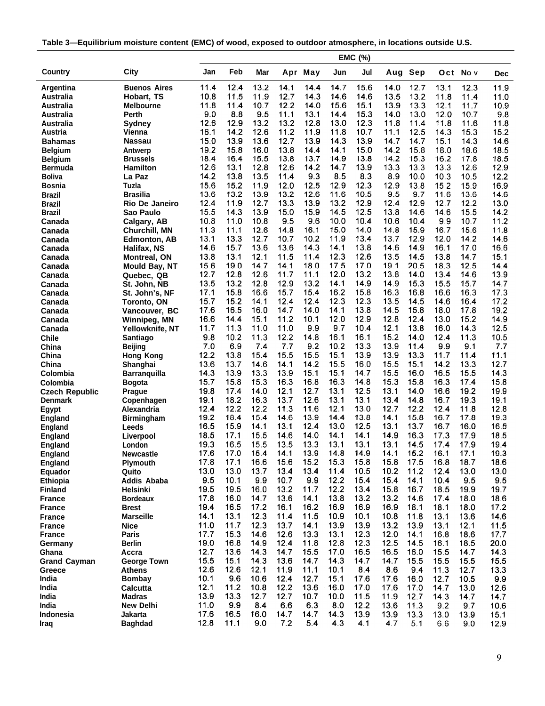| Table 3-Equilibrium moisture content (EMC) of wood, exposed to outdoor atmosphere, in locations outside U.S. |
|--------------------------------------------------------------------------------------------------------------|
|--------------------------------------------------------------------------------------------------------------|

|                                |                            |              |              |              |              |              |              | EMC (%)      |              |              |              |              |              |
|--------------------------------|----------------------------|--------------|--------------|--------------|--------------|--------------|--------------|--------------|--------------|--------------|--------------|--------------|--------------|
| Country                        | City                       | Jan          | Feb          | Mar          |              | Apr May      | Jun          | Jul          | Aug          | Sep          |              | Oct Nov      | <b>Dec</b>   |
| Argentina                      | <b>Buenos Aires</b>        | 11.4         | 12.4         | 13.2         | 14.1         | 14.4         | 14.7         | 15.6         | 14.0         | 12.7         | 13.1         | 12.3         | 11.9         |
| Australia                      | Hobart, TS                 | 10.8         | 11.5         | 11.9         | 12.7         | 14.3         | 14.6         | 14.6         | 13.5         | 13.2         | 11.8         | 11.4         | 11.0         |
| Australia                      | <b>Melbourne</b>           | 11.8         | 11.4         | 10.7         | 12.2         | 14.0         | 15.6         | 15.1         | 13.9         | 13.3         | 12.1         | 11.7         | 10.9         |
| Australia                      | Perth                      | 9.0          | 8.8          | 9.5          | 11.1         | 13.1         | 14.4         | 15.3         | 14.0         | 13.0         | 12.0         | 10.7         | 9.8          |
| Australia                      | Sydney                     | 12.6         | 12.9         | 13.2         | 13.2         | 12.8         | 13.0         | 12.3         | 11.8         | 11.4         | 11.8         | 11.6         | 11.8         |
| Austria                        | Vienna                     | 16.1         | 14.2         | 12.6         | 11.2         | 11.9         | 11.8         | 10.7         | 11.1         | 12.5         | 14.3         | 15.3         | 15.2         |
| <b>Bahamas</b>                 | Nassau                     | 15.0         | 13.9         | 13.6         | 12.7         | 13.9         | 14.3         | 13.9         | 14.7         | 14.7         | 15.1         | 14.3         | 14.6         |
| <b>Belgium</b>                 | Antwerp                    | 19.2         | 15.8         | 16.0         | 13.8         | 14.4         | 14.1         | 15.0         | 14.2         | 15.8         | 18.0         | 18.6         | 18.5         |
| <b>Belgium</b>                 | <b>Brussels</b>            | 18.4         | 16.4         | 15.5         | 13.8         | 13.7         | 14.9         | 13.8         | 14.2         | 15.3         | 16.2         | 17.8         | 18.5         |
| Bermuda                        | Hamilton                   | 12.6         | 13.1         | 12.8         | 12.6         | 14.2         | 14.7         | 13.9         | 13.3         | 13.3         | 13.3         | 12.6         | 12.9         |
| Boliva                         | La Paz                     | 14.2         | 13.8         | 13.5         | 11.4         | 9.3          | 8.5          | 8.3          | 8.9          | 10.0         | 10.3         | 10.5         | 12.2         |
| <b>Bosnia</b>                  | Tuzla                      | 15.6         | 15.2         | 11.9         | 12.0         | 12.5         | 12.9         | 12.3         | 12.9         | 13.8         | 15.2         | 15.9         | 16.9         |
| Brazil                         | Brasilia                   | 13.6         | 13.2         | 13.9         | 13.2         | 12.6         | 11.6         | 10.5         | 9.5          | 9.7          | 11.6         | 13.6         | 14.6         |
| Brazil                         | Rio De Janeiro             | 12.4         | 11.9         | 12.7         | 13.3         | 13.9         | 13.2         | 12.9         | 12.4         | 12.9         | 12.7         | 12.2         | 13.0         |
| Brazil                         | Sao Paulo                  | 15.5         | 14.3         | 13.9         | 15.0         | 15.9         | 14.5         | 12.5         | 13.8         | 14.6         | 14.6         | 15.5         | 14.2         |
| Canada                         | Calgary, AB                | 10.8         | 11.0         | 10.8         | 9.5          | 9.6          | 10.0         | 10.4         | 10.6         | 10.4         | 9.9          | 10.7         | 11.2         |
| Canada                         | Churchill, MN              | 11.3         | 11.1         | 12.6         | 14.8         | 16.1         | 15.0         | 14.0         | 14.8         | 15.9         | 16.7         | 15.6         | 11.8         |
| Canada                         | <b>Edmonton, AB</b>        | 13.1         | 13.3         | 12.7         | 10.7         | 10.2         | 11.9         | 13.4         | 13.7         | 12.9         | 12.0         | 14.2         | 14.6         |
| Canada                         | Halifax, NS                | 14.6         | 15.7<br>13.1 | 13.6<br>12.1 | 13.6<br>11.5 | 14.3<br>11.4 | 14.1<br>12.3 | 13.8<br>12.6 | 14.6<br>13.5 | 14.9<br>14.5 | 16.1<br>13.8 | 17.0<br>14.7 | 16.6<br>15.1 |
| Canada                         | <b>Montreal, ON</b>        | 13.8<br>15.6 | 19.0         | 14.7         | 14.1         | 18.0         | 17.5         | 17.0         | 19.1         | 20.5         | 18.3         | 12.5         | 14.4         |
| Canada                         | <b>Mould Bay, NT</b>       | 12.7         | 12.8         | 12.6         | 11.7         | 11.1         | 12.0         | 13.2         | 13.8         | 14.0         | 13.4         | 14.6         | 13.9         |
| Canada<br>Canada               | Quebec, QB<br>St. John, NB | 13.5         | 13.2         | 12.8         | 12.9         | 13.2         | 14.1         | 14.9         | 14.9         | 15.3         | 15.5         | 15.7         | 14.7         |
| Canada                         | St. John's, NF             | 17.1         | 15.8         | 16.6         | 15.7         | 15.4         | 16.2         | 15.8         | 16.3         | 16.8         | 16.6         | 16.3         | 17.3         |
| Canada                         | <b>Toronto, ON</b>         | 15.7         | 15.2         | 14.1         | 12.4         | 12.4         | 12.3         | 12.3         | 13.5         | 14.5         | 14.6         | 16.4         | 17.2         |
| Canada                         | Vancouver, BC              | 17.6         | 16.5         | 16.0         | 14.7         | 14.0         | 14.1         | 13.8         | 14.5         | 15.8         | 18.0         | 17.8         | 19.2         |
| Canada                         | Winnipeg, MN               | 16.6         | 14.4         | 15.1         | 11.2         | 10.1         | 12.0         | 12.9         | 12.8         | 12.4         | 13.0         | 15.2         | 14.9         |
| Canada                         | Yellowknife, NT            | 11.7         | 11.3         | 11.0         | 11.0         | 9.9          | 9.7          | 10.4         | 12.1         | 13.8         | 16.0         | 14.3         | 12.5         |
| <b>Chile</b>                   | Santiago                   | 9.8          | 10.2         | 11.3         | 12.2         | 14.8         | 16.1         | 16.1         | 15.2         | 14.0         | 12.4         | 11.3         | 10.5         |
| China                          | <b>Beijing</b>             | 7.0          | 6.9          | 7.4          | 7.7          | 9.2          | 10.2         | 13.3         | 13.9         | 11.4         | 9.9          | 9.1          | 7.7          |
| China                          | <b>Hong Kong</b>           | 12.2         | 13.8         | 15.4         | 15.5         | 15.5         | 15.1         | 13.9         | 13.9         | 13.3         | 11.7         | 11.4         | 11.1         |
| China                          | Shanghai                   | 13.6         | 13.7         | 14.6         | 14.1         | 14.2         | 15.5         | 16.0         | 15.5         | 15.1         | 14.2         | 13.3         | 12.7         |
| Colombia                       | <b>Barranquilla</b>        | 14.3         | 13.9         | 13.3         | 13.9         | 15.1         | 15.1         | 14.7         | 15.5         | 16.0         | 16.5         | 15.5         | 14.3         |
| Colombia                       | <b>Bogota</b>              | 15.7         | 15.8         | 15.3         | 16.3         | 16.8         | 16.3         | 14.8         | 15.3         | 15.8         | 16.3         | 17.4         | 15.8         |
| <b>Czech Republic</b>          | <b>Prague</b>              | 19.8         | 17.4         | 14.0         | 12.1         | 12.7         | 13.1         | 12.5         | 13.1         | 14.0         | 16.6         | 19.2         | 19.9         |
| <b>Denmark</b>                 | Copenhagen                 | 19.1         | 18.2         | 16.3         | 13.7         | 12.6         | 13.1         | 13.1         | 13.4         | 14.8         | 16.7         | 19.3         | 19.1         |
| Egypt                          | Alexandria                 | 12.4         | 12.2         | 12.2         | 11.3         | 11.6         | 12.1         | 13.0         | 12.7         | 12.2         | 12.4         | 11.8         | 12.8         |
| <b>England</b>                 | <b>Birmingham</b>          | 19.2         | 18.4         | 15.4         | 14.6         | 13.9         | 14.4         | 13.8         | 14.1         | 15.8         | 16.7         | 17.8         | 19.3         |
| <b>England</b>                 | Leeds                      | 16.5         | 15.9         | 14.1         | 13.1         | 12.4         | 13.0         | 12.5         | 13.1         | 13.7         | 16.7         | 16.0         | 16.5         |
| England                        | Liverpool                  | 18.5         | 17.1         | 15.5         | 14.6         | 14.0         | 14.1         | 14.1         | 14.9         | 16.3         | 17.3         | 17.9         | 18.5         |
| <b>England</b>                 | London                     | 19.3         | 16.5         | 15.5         | 13.5         | 13.3         | 13.1         | 13.1         | 13.1         | 14.5         | 17.4         | 17.9         | 19.4         |
| <b>England</b>                 | Newcastle                  | 17.6         | 17.0         | 15.4         | 14.1         | 13.9         | 14.8         | 14.9         | 14.1         | 15.2         | 16.1         | 17.1         | 19.3         |
| <b>England</b>                 | <b>Plymouth</b>            | 17.8         | 17.1         | 16.6         | 15.6         | 15.2         | 15.3         | 15.8         | 15.8         | 17.5         | 16.8         | 18.7         | 18.6         |
| Equador                        | Quito                      | 13.0         | 13.0         | 13.7         | 13.4         | 13.4         | 11.4         | 10.5         | 10.2         | 11.2         | 12.4         | 13.0         | 13.0         |
| <b>Ethiopia</b>                | <b>Addis Ababa</b>         | 9.5          | 10.1         | 9.9          | 10.7         | 9.9          | 12.2<br>12.2 | 15.4         | 15.4<br>15.8 | 14.1         | 10.4         | 9.5          | 9.5          |
| <b>Finland</b>                 | Helsinki                   | 19.5         | 19.5         | 16.0         | 13.2         | 11.7         |              | 13.4         |              | 16.7         | 18.5         | 19.9         | 19.7         |
| <b>France</b>                  | <b>Bordeaux</b>            | 17.8<br>19.4 | 16.0<br>16.5 | 14.7<br>17.2 | 13.6<br>16.1 | 14.1<br>16.2 | 13.8<br>16.9 | 13.2<br>16.9 | 13.2<br>16.9 | 14.6<br>18.1 | 17.4<br>18.1 | 18.0         | 18.6         |
| <b>France</b>                  | Brest<br><b>Marseille</b>  | 14.1         | 13.1         | 12.3         | 11.4         | 11.5         | 10.9         | 10.1         | 10.8         | 11.8         | 13.1         | 18.0<br>13.6 | 17.2         |
| <b>France</b>                  | <b>Nice</b>                | 11.0         | 11.7         | 12.3         | 13.7         | 14.1         | 13.9         | 13.9         | 13.2         | 13.9         | 13.1         | 12.1         | 14.6         |
| <b>France</b><br><b>France</b> | Paris                      | 17.7         | 15.3         | 14.6         | 12.6         | 13.3         | 13.1         | 12.3         | 12.0         | 14.1         | 16.8         | 18.6         | 11.5<br>17.7 |
| Germany                        | <b>Berlin</b>              | 19.0         | 16.8         | 14.9         | 12.4         | 11.8         | 12.8         | 12.3         | 12.5         | 14.5         | 16.1         | 18.5         | 20.0         |
| Ghana                          | Accra                      | 12.7         | 13.6         | 14.3         | 14.7         | 15.5         | 17.0         | 16.5         | 16.5         | 16.0         | 15.5         | 147          | 14.3         |
| <b>Grand Cayman</b>            | <b>George Town</b>         | 15.5         | 15.1         | 14.3         | 13.6         | 14.7         | 14.3         | 14.7         | 14.7         | 15.5         | 15.5         | 15.5         | 15.5         |
| Greece                         | Athens                     | 12.6         | 12.6         | 12.1         | 11.9         | 11.1         | 10.1         | 8.4          | 8.6          | 9.4          | 11.3         | 12.7         | 13.3         |
| India                          | <b>Bombay</b>              | 10.1         | 9.6          | 10.6         | 12.4         | 12.7         | 15.1         | 17.6         | 17.6         | 16.0         | 12.7         | 10.5         | 9.9          |
| India                          | <b>Calcutta</b>            | 12.1         | 11.2         | 10.8         | 12.2         | 13.6         | 16.0         | 17.0         | 17.6         | 17.0         | 14.7         | 13.0         | 12.6         |
| India                          | Madras                     | 13.9         | 13.3         | 12.7         | 12.7         | 10.7         | 10.0         | 11.5         | 11.9         | 12.7         | 14.3         | 14.7         | 14.7         |
| India                          | <b>New Delhi</b>           | 11.0         | 9.9          | 8.4          | 6.6          | 6.3          | 8.0          | 12.2         | 13.6         | 11.3         | 9.2          | 9.7          | 10.6         |
| Indonesia                      | Jakarta                    | 17.6         | 16.5         | 16.0         | 14.7         | 14.7         | 14.3         | 13.9         | 13.9         | 13.3         | 13.0         | 13.9         | 15.1         |
| Iraq                           | <b>Baghdad</b>             | 12.8         | 11.1         | 9.0          | 7.2          | 5.4          | 4.3          | 4.1          | 4.7          | 5.1          | 6.6          | 9.0          | 12.9         |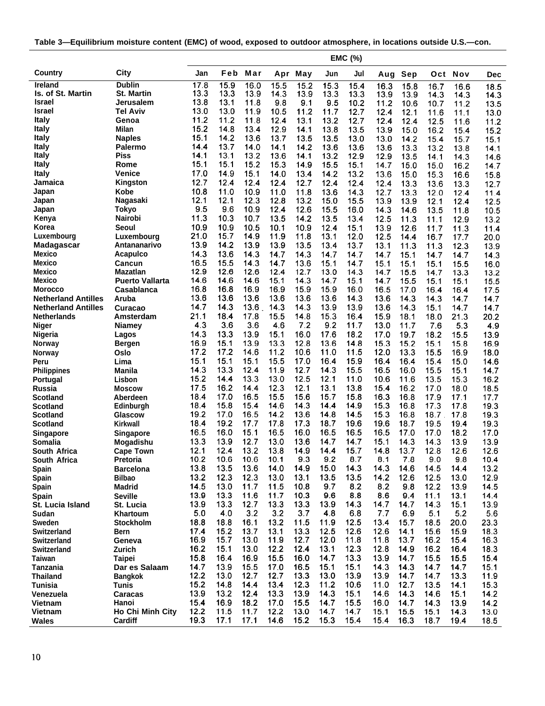|  | Table 3—Equilibrium moisture content (EMC) of wood, exposed to outdoor atmosphere, in locations outside U.S.—con. |
|--|-------------------------------------------------------------------------------------------------------------------|
|--|-------------------------------------------------------------------------------------------------------------------|

|                                     |                                |              |              |              |              |              |              | EMC (%)      |              |              |              |              |              |
|-------------------------------------|--------------------------------|--------------|--------------|--------------|--------------|--------------|--------------|--------------|--------------|--------------|--------------|--------------|--------------|
| Country                             | City                           | Jan          | Feb          | Mar          | Apr          | May          | Jun          | Jul          | Aug          | Sep          | Oct          | Nov          | <b>Dec</b>   |
| <b>Ireland</b>                      | <b>Dublin</b>                  | 17.8         | 15.9         | 16.0         | 15.5         | 15.2         | 15.3         | 15.4         | 16.3         | 15.8         | 16.7         | 16.6         | 18.5         |
| Is. of St. Martin<br>Israel         | St. Martin<br>Jerusalem        | 13.3<br>13.8 | 13.3<br>13.1 | 13.9<br>11.8 | 14.3<br>9.8  | 13.9<br>9.1  | 13.3         | 13.3         | 13.9         | 13.9         | 14.3         | 14.3         | 14.3         |
| Israel                              | <b>Tel Aviv</b>                | 13.0         | 13.0         | 11.9         | 10.5         | 11.2         | 9.5<br>11.7  | 10.2<br>12.7 | 11.2<br>12.4 | 10.6         | 10.7         | 11.2         | 13.5         |
| Italy                               | Genoa                          | 11.2         | 11.2         | 11.8         | 12.4         | 13.1         | 13.2         | 12.7         | 12.4         | 12.1<br>12.4 | 11.6<br>12.5 | 11.1<br>11.6 | 13.0<br>11.2 |
| <b>Italy</b>                        | Milan                          | 15.2         | 14.8         | 13.4         | 12.9         | 14.1         | 13.8         | 13.5         | 13.9         | 15.0         | 16.2         | 15.4         | 15.2         |
| <b>Italy</b>                        | Naples                         | 15.1         | 14.2         | 13.6         | 13.7         | 13.5         | 13.5         | 13.0         | 13.0         | 14.2         | 15.4         | 15.7         | 15.1         |
| Italy                               | Palermo                        | 14.4         | 13.7         | 14.0         | 14.1         | 14.2         | 13.6         | 13.6         | 13.6         | 13.3         | 13.2         | 13.8         | 14.1         |
| <b>Italy</b>                        | Piss                           | 14.1         | 13.1         | 13.2         | 13.6         | 14.1         | 13.2         | 12.9         | 12.9         | 13.5         | 14.1         | 14.3         | 14.6         |
| <b>Italy</b>                        | Rome                           | 15.1         | 15.1         | 15.2         | 15.3         | 14.9         | 15.5         | 15.1         | 14.7         | 15.0         | 15.0         | 16.2         | 14.7         |
| Italy                               | <b>Venice</b>                  | 17.0         | 14.9         | 15.1         | 14.0         | 13.4         | 14.2         | 13.2         | 13.6         | 15.0         | 15.3         | 16.6         | 15.8         |
| Jamaica                             | Kingston                       | 12.7         | 12.4         | 12.4         | 12.4         | 12.7         | 12.4         | 12.4         | 12.4         | 13.3         | 13.6         | 13.3         | 12.7         |
| Japan                               | Kobe                           | 10.8         | 11.0         | 10.9         | 11.0         | 11.8         | 13.6         | 14.3         | 12.7         | 13.3         | 12.0         | 12.4         | 11.4         |
| Japan                               | Nagasaki                       | 12.1         | 12.1         | 12.3         | 12.8         | 13.2         | 15.0         | 15.5         | 13.9         | 13.9         | 12.1         | 12.4         | 12.5         |
| Japan                               | Tokyo<br>Nairobi               | 9.5<br>11.3  | 9.6<br>10.3  | 10.9<br>10.7 | 12.4<br>13.5 | 12.6         | 15.5         | 16.0         | 14.3         | 14.6         | 13.5         | 11.8         | 10.5         |
| Kenya<br>Korea                      | Seoul                          | 10.9         | 10.9         | 10.5         | 10.1         | 14.2<br>10.9 | 13.5<br>12.4 | 13.4<br>15.1 | 12.5<br>13.9 | 11.3<br>12.6 | 11.1<br>11.7 | 12.9         | 13.2         |
| Luxembourg                          | Luxembourg                     | 21.0         | 15.7         | 14.9         | 11.9         | 11.8         | 13.1         | 12.0         | 12.5         | 14.4         | 16.7         | 11.3<br>17.7 | 11.4<br>20.0 |
| Madagascar                          | Antananarivo                   | 13.9         | 14.2         | 13.9         | 13.9         | 13.5         | 13.4         | 13.7         | 13.1         | 11.3         | 11.3         | 12.3         | 13.9         |
| Mexico                              | Acapulco                       | 14.3         | 13.6         | 14.3         | 14.7         | 14.3         | 14.7         | 14.7         | 14.7         | 15.1         | 14.7         | 14.7         | 14.3         |
| Mexico                              | Cancun                         | 16.5         | 15.5         | 14.3         | 14.7         | 13.6         | 15.1         | 14.7         | 15.1         | 15.1         | 15.1         | 15.5         | 16.0         |
| Mexico                              | <b>Mazatlan</b>                | 12.9         | 12.6         | 12.6         | 12.4         | 12.7         | 13.0         | 14.3         | 14.7         | 15.5         | 14.7         | 13.3         | 13.2         |
| Mexico                              | <b>Puerto Vallarta</b>         | 14.6         | 14.6         | 14.6         | 15.1         | 14.3         | 14.7         | 15.1         | 14.7         | 15.5         | 15.1         | 15.1         | 15.5         |
| <b>Morocco</b>                      | Casablanca                     | 16.8         | 16.8         | 16.9         | 16.9         | 15.9         | 15.9         | 16.0         | 16.5         | 17.0         | 16.4         | 16.4         | 17.5         |
| <b>Netherland Antilles</b>          | Aruba                          | 13.6         | 13.6         | 13.6         | 13.6         | 13.6         | 13.6         | 14.3         | 13.6         | 14.3         | 14.3         | 14.7         | 14.7         |
| <b>Netherland Antilles</b>          | Curacao                        | 14.7         | 14.3         | $13.6$ .     | 14.3         | 14.3         | 13.9         | 13.9         | 13.6         | 14.3         | 15.1         | 14.7         | 14.7         |
| <b>Netherlands</b>                  | Amsterdam                      | 21.1         | 18.4         | 17.8         | 15.5         | 14.8         | 15.3         | 16.4         | 15.9         | 18.1         | 18.0         | 21.3         | 20.2         |
| Niger                               | Niamey                         | 4.3          | 3.6          | 3.6          | 4.6          | 7.2          | 9.2          | 11.7         | 13.0         | 11.7         | 7.6          | 5.3          | 4.9          |
| Nigeria                             | Lagos                          | 14.3<br>16.9 | 13.3<br>15.1 | 13.9<br>13.9 | 15.1<br>13.3 | 16.0<br>12.8 | 17.6<br>13.6 | 18.2<br>14.8 | 17.0<br>15.3 | 19.7<br>15.2 | 18.2<br>15.1 | 15.5<br>15.8 | 13.9<br>16.9 |
| Norway                              | <b>Bergen</b><br>Oslo          | 17.2         | 17.2         | 14.6         | 11.2         | 10.6         | 11.0         | 11.5         | 12.0         | 13.3         | 15.5         | 16.9         | 18.0         |
| Norway<br>Peru                      | Lima                           | 15.1         | 15.1         | 15.1         | 15.5         | 17.0         | 16.4         | 15.9         | 16.4         | 16.4         | 15.4         | 15.0         | 14.6         |
| <b>Philippines</b>                  | <b>Manila</b>                  | 14.3         | 13.3         | 12.4         | 11.9         | 12.7         | 14.3         | 15.5         | 16.5         | 16.0         | 15.5         | 15.1         | 14.7         |
| Portugal                            | Lisbon                         | 15.2         | 14.4         | 13.3         | 13.0         | 12.5         | 12.1         | 11.0         | 10.6         | 11.6         | 13.5         | 15.3         | 16.2         |
| Russia                              | Moscow                         | 17.5         | 16.2         | 14.4         | 12.3         | 12.1         | 13.1         | 13.8         | 15.4         | 16.2         | 17.0         | 18.0         | 18.5         |
| Scotland                            | Aberdeen                       | 18.4         | 17.0         | 16.5         | 15.5         | 15.6         | 15.7         | 15.8         | 16.3         | 16.8         | 17.9         | 17.1         | 17.7         |
| Scotland                            | Edinburgh                      | 18.4         | 15.8         | 15.4         | 14.6         | 14.3         | 14.4         | 14.9         | 15.3         | 16.8         | 17.3         | 17.8         | 19.3         |
| Scotland                            | Glascow                        | 19.2         | 17.0         | 16.5         | 14.2         | 13.6         | 14.8         | 14.5         | 15.3         | 16.8         | 18.7         | 17.8         | 19.3         |
| Scotland                            | Kirkwall                       | 18.4         | 19.2         | 17.7         | 17.8         | 17.3         | 18.7         | 19.6         | 19.6         | 18.7         | 19.5         | 19.4         | 19.3         |
| Singapore                           | Singapore                      | 16.5         | 16.0         | 15.1         | 16.5         | 16.0         | 16.5         | 16.5         | 16.5         | 17.0         | 17.0         | 18.2         | 17.0         |
| Somalia                             | Mogadishu                      | 13.3<br>12.1 | 13.9<br>12.4 | 12.7<br>13.2 | 13.0<br>13.8 | 13.6         | 14.7         | 14.7<br>15.7 | 15.1<br>14.8 | 14.3         | 14.3         | 13.9         | 13.9         |
| <b>South Africa</b><br>South Africa | <b>Cape Town</b><br>Pretoria   | 10.2         | 10.6         | 10.6         | 10.1         | 14.9<br>9.3  | 14.4<br>9.2  | 8.7          | 8.1          | 13.7<br>7.8  | 12.8<br>9.0  | 12.6<br>9.8  | 12.6<br>10.4 |
| Spain                               | <b>Barcelona</b>               | 13.8         | 13.5         | 13.6         | 14.0         | 14.9         | 15.0         | 14.3         | 14.3         | 14.6         | 14.5         | 14.4         | 13.2         |
| Spain                               | <b>Bilbao</b>                  | 13.2         | 12.3         | 12.3         | 13.0         | 13.1         | 13.5         | 13.5         | 14.2         | 12.6         | 12.5         | 13.0         | 12.9         |
| Spain                               | Madrid                         | 14.5         | 13.0         | 11.7         | 11.5         | 10.8         | 9.7          | 8.2          | 8.2          | 9.8          | 12.2         | 13.9         | 14.5         |
| <b>Spain</b>                        | <b>Seville</b>                 | 13.9         | 13.3         | 11.6         | 11.7         | 10.3         | 9.6          | 8.8          | 8.6          | 9.4          | 11.1         | 13.1         | 14.4         |
| <b>St. Lucia Island</b>             | St. Lucia                      | 13.9         | 13.3         | 12.7         | 13.3         | 13.3         | 13.9         | 14.3         | 14.7         | 14.7         | 14.3         | 15.1         | 13.9         |
| Sudan                               | Khartoum                       | 5.0          | 4.0          | 3.2          | 3.2          | 3.7          | 4.8          | 6.8          | 7.7          | 6.9          | 5.1          | 5.2          | 5.6          |
| Sweden                              | <b>Stockholm</b>               | 18.8         | 18.8         | 16.1         | 13.2         | 11.5         | 11.9         | 12.5         | 13.4         | 15.7         | 18.5         | 20.0         | 23.3         |
| <b>Switzerland</b>                  | Bern                           | 17.4         | 15.2         | 13.7         | 13.1         | 13.3         | 12.5         | 12.6         | 12.6         | 14.1         | 15.6         | 15.9         | 18.3         |
| <b>Switzerland</b>                  | Geneva                         | 16.9         | 15.7         | 13.0         | 11.9         | 12.7         | 12.0         | 11.8         | 11.8         | 13.7         | 16.2         | 15.4         | 16.3         |
| <b>Switzerland</b>                  | Zurich                         | 16.2         | 15.1         | 13.0         | 12.2         | 12.4         | 13.1         | 12.3         | 12.8         | 14.9         | 16.2         | 16.4         | 18.3         |
| <b>Taiwan</b>                       | <b>Taipei</b>                  | 15.8         | 16.4         | 16.9         | 15.5         | 16.0         | 14.7         | 13.3         | 13.9         | 14.7         | 15.5         | 15.5         | 15.4         |
| <b>Tanzania</b>                     | Dar es Salaam                  | 14.7<br>12.2 | 13.9<br>13.0 | 15.5<br>12.7 | 17.0<br>12.7 | 16.5<br>13.3 | 15.1<br>13.0 | 15.1<br>13.9 | 14.3         | 14.3         | 14.7         | 14.7         | 15.1         |
| <b>Thailand</b><br><b>Tunisia</b>   | <b>Bangkok</b><br><b>Tunis</b> | 15.2         | 14.8         | 14.4         | 13.4         | 12.3         | 11.2         | 10.6         | 13.9<br>11.0 | 14.7<br>12.7 | 14.7<br>13.5 | 13.3<br>14.1 | 11.9<br>15.3 |
| Venezuela                           | Caracas                        | 13.9         | 13.2         | 12.4         | 13.3         | 13.9         | 14.3         | 15.1         | 14.6         | 14.3         | 14.6         | 15.1         | 14.2         |
| <b>Vietnam</b>                      | Hanoi                          | 15.4         | 16.9         | 18.2         | 17.0         | 15.5         | 14.7         | 15.5         | 16.0         | 14.7         | 14.3         | 13.9         | 14.2         |
| <b>Vietnam</b>                      | Ho Chi Minh City               | 12.2         | 11.5         | 11.7         | 12.2         | 13.0         | 14.7         | 14.7         | 15.1         | 15.5         | 15.1         | 14.3         | 13.0         |
| <b>Wales</b>                        | Cardiff                        | 19.3         | 17.1         | 17.1         | 14.6         | 15.2         | 15.3         | 15.4         | 15.4         | 16.3         | 18.7         | 19.4         | 18.5         |